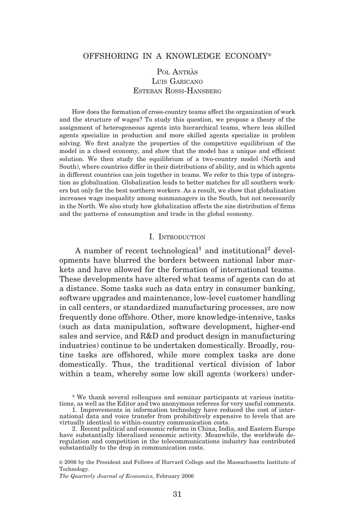# OFFSHORING IN A KNOWLEDGE ECONOMY\*

# POL ANTRÀS LUIS GARICANO ESTEBAN ROSSI-HANSBERG

How does the formation of cross-country teams affect the organization of work and the structure of wages? To study this question, we propose a theory of the assignment of heterogeneous agents into hierarchical teams, where less skilled agents specialize in production and more skilled agents specialize in problem solving. We first analyze the properties of the competitive equilibrium of the model in a closed economy, and show that the model has a unique and efficient solution. We then study the equilibrium of a two-country model (North and South), where countries differ in their distributions of ability, and in which agents in different countries can join together in teams. We refer to this type of integration as globalization. Globalization leads to better matches for all southern workers but only for the best northern workers. As a result, we show that globalization increases wage inequality among nonmanagers in the South, but not necessarily in the North. We also study how globalization affects the size distribution of firms and the patterns of consumption and trade in the global economy.

#### **I** INTRODUCTION

A number of recent technological<sup>1</sup> and institutional<sup>2</sup> developments have blurred the borders between national labor markets and have allowed for the formation of international teams. These developments have altered what teams of agents can do at a distance. Some tasks such as data entry in consumer banking, software upgrades and maintenance, low-level customer handling in call centers, or standardized manufacturing processes, are now frequently done offshore. Other, more knowledge-intensive, tasks (such as data manipulation, software development, higher-end sales and service, and R&D and product design in manufacturing industries) continue to be undertaken domestically. Broadly, routine tasks are offshored, while more complex tasks are done domestically. Thus, the traditional vertical division of labor within a team, whereby some low skill agents (workers) under-

© 2006 by the President and Fellows of Harvard College and the Massachusetts Institute of Technology.

The Quarterly Journal of Economics, February 2006

 $^\ast$  We thank several colleagues and seminar participants at various institutions, as well as the Editor and two anonymous referees for very useful comments. 1. Improvements in information technology have reduced the cost

national data and voice transfer from prohibitively expensive to levels that are virtually identical to within-country communication costs.<br>2. Recent political and economic reforms in China, India, and Eastern Europe

have substantially liberalized economic activity. Meanwhile, the worldwide deregulation and competition in the telecommunications industry has contributed substantially to the drop in communication costs.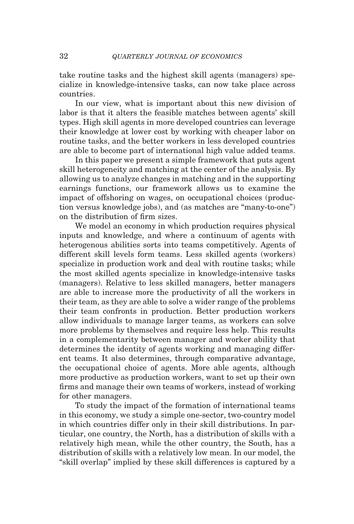take routine tasks and the highest skill agents (managers) specialize in knowledge-intensive tasks, can now take place across countries

In our view, what is important about this new division of labor is that it alters the feasible matches between agents' skill types. High skill agents in more developed countries can leverage their knowledge at lower cost by working with cheaper labor on routine tasks, and the better workers in less developed countries are able to become part of international high value added teams.

In this paper we present a simple framework that puts agent skill heterogeneity and matching at the center of the analysis. By allowing us to analyze changes in matching and in the supporting earnings functions, our framework allows us to examine the impact of offshoring on wages, on occupational choices (production versus knowledge jobs), and (as matches are "many-to-one") on the distribution of firm sizes

We model an economy in which production requires physical inputs and knowledge, and where a continuum of agents with heterogenous abilities sorts into teams competitively. Agents of different skill levels form teams. Less skilled agents (workers) specialize in production work and deal with routine tasks; while the most skilled agents specialize in knowledge-intensive tasks (managers). Relative to less skilled managers, better managers are able to increase more the productivity of all the workers in their team, as they are able to solve a wider range of the problems their team confronts in production. Better production workers allow individuals to manage larger teams, as workers can solve more problems by themselves and require less help. This results in a complementarity between manager and worker ability that determines the identity of agents working and managing different teams. It also determines, through comparative advantage, the occupational choice of agents. More able agents, although more productive as production workers, want to set up their own firms and manage their own teams of workers, instead of working for other managers.

To study the impact of the formation of international teams in this economy, we study a simple one-sector, two-country model in which countries differ only in their skill distributions. In particular, one country, the North, has a distribution of skills with a relatively high mean, while the other country, the South, has a distribution of skills with a relatively low mean. In our model, the "skill overlap" implied by these skill differences is captured by a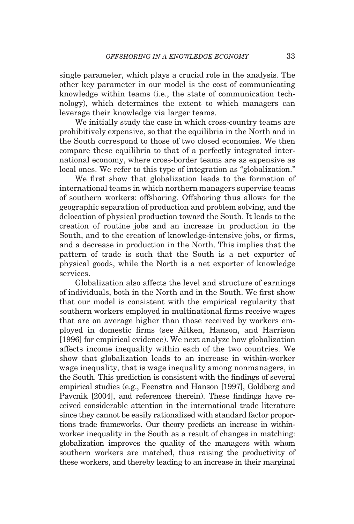single parameter, which plays a crucial role in the analysis. The other key parameter in our model is the cost of communicating knowledge within teams (i.e., the state of communication technology), which determines the extent to which managers can leverage their knowledge via larger teams.

We initially study the case in which cross-country teams are prohibitively expensive, so that the equilibria in the North and in the South correspond to those of two closed economies. We then compare these equilibria to that of a perfectly integrated international economy, where cross-border teams are as expensive as local ones. We refer to this type of integration as "globalization."

We first show that globalization leads to the formation of international teams in which northern managers supervise teams of southern workers: offshoring. Offshoring thus allows for the geographic separation of production and problem solving, and the delocation of physical production toward the South. It leads to the creation of routine jobs and an increase in production in the South, and to the creation of knowledge-intensive jobs, or firms, and a decrease in production in the North. This implies that the pattern of trade is such that the South is a net exporter of physical goods, while the North is a net exporter of knowledge services

Globalization also affects the level and structure of earnings of individuals, both in the North and in the South. We first show that our model is consistent with the empirical regularity that southern workers employed in multinational firms receive wages that are on average higher than those received by workers employed in domestic firms (see Aitken, Hanson, and Harrison [1996] for empirical evidence). We next analyze how globalization affects income inequality within each of the two countries. We show that globalization leads to an increase in within-worker wage inequality, that is wage inequality among nonmanagers, in the South. This prediction is consistent with the findings of several empirical studies (e.g., Feenstra and Hanson [1997], Goldberg and Pavcnik [2004], and references therein). These findings have received considerable attention in the international trade literature since they cannot be easily rationalized with standard factor proportions trade frameworks. Our theory predicts an increase in withinworker inequality in the South as a result of changes in matching: globalization improves the quality of the managers with whom southern workers are matched, thus raising the productivity of these workers, and thereby leading to an increase in their marginal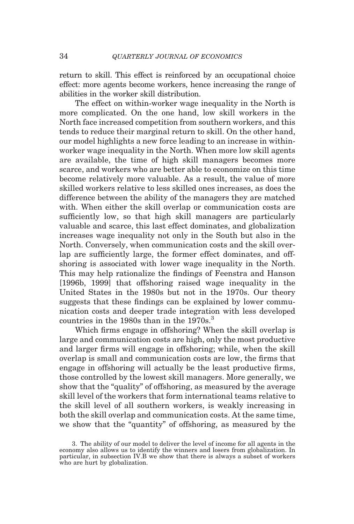return to skill. This effect is reinforced by an occupational choice effect: more agents become workers, hence increasing the range of abilities in the worker skill distribution.

The effect on within-worker wage inequality in the North is more complicated. On the one hand, low skill workers in the North face increased competition from southern workers, and this tends to reduce their marginal return to skill. On the other hand, our model highlights a new force leading to an increase in withinworker wage inequality in the North. When more low skill agents are available, the time of high skill managers becomes more scarce, and workers who are better able to economize on this time become relatively more valuable. As a result, the value of more skilled workers relative to less skilled ones increases, as does the difference between the ability of the managers they are matched with. When either the skill overlap or communication costs are sufficiently low, so that high skill managers are particularly valuable and scarce, this last effect dominates, and globalization increases wage inequality not only in the South but also in the North. Conversely, when communication costs and the skill overlap are sufficiently large, the former effect dominates, and offshoring is associated with lower wage inequality in the North. This may help rationalize the findings of Feenstra and Hanson [1996b. 1999] that offshoring raised wage inequality in the United States in the 1980s but not in the 1970s. Our theory suggests that these findings can be explained by lower communication costs and deeper trade integration with less developed countries in the 1980s than in the  $1970s$ .<sup>3</sup>

Which firms engage in offshoring? When the skill overlap is large and communication costs are high, only the most productive and larger firms will engage in offshoring; while, when the skill overlap is small and communication costs are low, the firms that engage in offshoring will actually be the least productive firms, those controlled by the lowest skill managers. More generally, we show that the "quality" of offshoring, as measured by the average skill level of the workers that form international teams relative to the skill level of all southern workers, is weakly increasing in both the skill overlap and communication costs. At the same time, we show that the "quantity" of offshoring, as measured by the

<sup>3.</sup> The ability of our model to deliver the level of income for all agents in the economy also allows us to identify the winners and losers from globalization. In particular, in subsection IV.B we show that there is always a subset of workers who are hurt by globalization.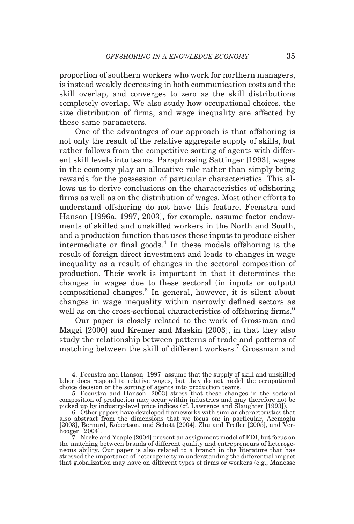proportion of southern workers who work for northern managers, is instead weakly decreasing in both communication costs and the skill overlap, and converges to zero as the skill distributions completely overlap. We also study how occupational choices, the size distribution of firms, and wage inequality are affected by these same parameters.

One of the advantages of our approach is that offshoring is not only the result of the relative aggregate supply of skills, but rather follows from the competitive sorting of agents with different skill levels into teams. Paraphrasing Sattinger [1993], wages in the economy play an allocative role rather than simply being rewards for the possession of particular characteristics. This allows us to derive conclusions on the characteristics of offshoring firms as well as on the distribution of wages. Most other efforts to understand offshoring do not have this feature. Feenstra and Hanson [1996a, 1997, 2003], for example, assume factor endowments of skilled and unskilled workers in the North and South. and a production function that uses these inputs to produce either intermediate or final goods.<sup>4</sup> In these models offshoring is the result of foreign direct investment and leads to changes in wage inequality as a result of changes in the sectoral composition of production. Their work is important in that it determines the changes in wages due to these sectoral (in inputs or output) compositional changes.<sup>5</sup> In general, however, it is silent about changes in wage inequality within narrowly defined sectors as well as on the cross-sectional characteristics of offshoring firms.<sup>6</sup>

Our paper is closely related to the work of Grossman and Maggi [2000] and Kremer and Maskin [2003], in that they also study the relationship between patterns of trade and patterns of matching between the skill of different workers.<sup>7</sup> Grossman and

4. Feenstra and Hanson [1997] assume that the supply of skill and unskilled labor does respond to relative wages, but they do not model the occupational

Factor document of agents into production teams.<br>
choice decision or the sorting of agents into production teams.<br>
5. Feenstra and Hanson [2003] stress that these changes in the sectoral<br>
composition of production may occu

also abstract from the dimensions that we focus on: in particular, Acemoglu [2003], Bernard, Robertson, and Schott [2004], Zhu and Trefler [2005], and Verhoogen [2004].

7. Nocke and Yeaple [2004] present an assignment model of FDI, but focus on the matching between brands of different quality and entrepreneurs of heterogeneous ability. Our paper is also related to a branch in the literature that has stressed the importance of heterogeneity in understanding the differential impact that globalization may have on different types of firms or workers (e.g., Manesse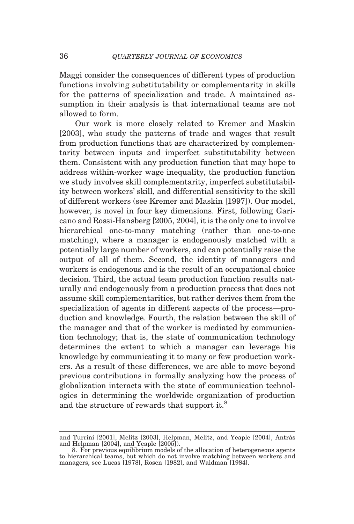Maggi consider the consequences of different types of production functions involving substitutability or complementarity in skills for the patterns of specialization and trade. A maintained assumption in their analysis is that international teams are not allowed to form

Our work is more closely related to Kremer and Maskin [2003], who study the patterns of trade and wages that result from production functions that are characterized by complementarity between inputs and imperfect substitutability between them. Consistent with any production function that may hope to address within-worker wage inequality, the production function we study involves skill complementarity, imperfect substitutability between workers' skill, and differential sensitivity to the skill of different workers (see Kremer and Maskin [1997]). Our model, however, is novel in four key dimensions. First, following Garicano and Rossi-Hansberg [2005, 2004], it is the only one to involve hierarchical one-to-many matching (rather than one-to-one matching), where a manager is endogenously matched with a potentially large number of workers, and can potentially raise the output of all of them. Second, the identity of managers and workers is endogenous and is the result of an occupational choice decision. Third, the actual team production function results naturally and endogenously from a production process that does not assume skill complementarities, but rather derives them from the specialization of agents in different aspects of the process---production and knowledge. Fourth, the relation between the skill of the manager and that of the worker is mediated by communication technology; that is, the state of communication technology determines the extent to which a manager can leverage his knowledge by communicating it to many or few production workers. As a result of these differences, we are able to move beyond previous contributions in formally analyzing how the process of globalization interacts with the state of communication technologies in determining the worldwide organization of production and the structure of rewards that support it.<sup>8</sup>

and Turrini [2001], Melitz [2003], Helpman, Melitz, and Yeaple [2004], Antràs and Helpman [2004], and Yeaple [2005]).<br>8. For previous equilibrium models of the allocation of heterogeneous agents

to hierarchical teams, but which do not involve matching between workers and managers, see Lucas [1978], Rosen [1982], and Waldman [1984].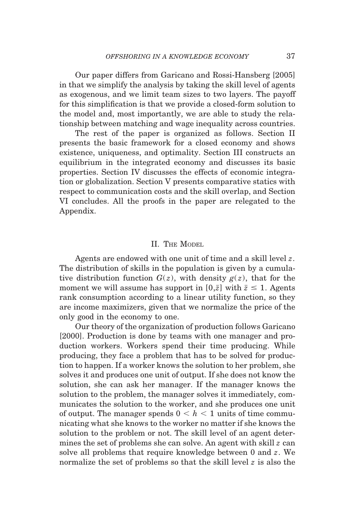Our paper differs from Garicano and Rossi-Hansberg [2005] in that we simplify the analysis by taking the skill level of agents as exogenous, and we limit team sizes to two layers. The payoff for this simplification is that we provide a closed-form solution to the model and, most importantly, we are able to study the relationship between matching and wage inequality across countries.

The rest of the paper is organized as follows. Section II presents the basic framework for a closed economy and shows existence, uniqueness, and optimality. Section III constructs an equilibrium in the integrated economy and discusses its basic properties. Section IV discusses the effects of economic integration or globalization. Section V presents comparative statics with respect to communication costs and the skill overlap, and Section VI concludes. All the proofs in the paper are relegated to the Appendix.

### **II.** THE MODEL

Agents are endowed with one unit of time and a skill level  $z$ . The distribution of skills in the population is given by a cumulative distribution function  $G(z)$ , with density  $g(z)$ , that for the moment we will assume has support in  $[0,\bar{z}]$  with  $\bar{z} \leq 1$ . Agents rank consumption according to a linear utility function, so they are income maximizers, given that we normalize the price of the only good in the economy to one.

Our theory of the organization of production follows Garicano [2000]. Production is done by teams with one manager and production workers. Workers spend their time producing. While producing, they face a problem that has to be solved for production to happen. If a worker knows the solution to her problem, she solves it and produces one unit of output. If she does not know the solution, she can ask her manager. If the manager knows the solution to the problem, the manager solves it immediately, communicates the solution to the worker, and she produces one unit of output. The manager spends  $0 < h < 1$  units of time communicating what she knows to the worker no matter if she knows the solution to the problem or not. The skill level of an agent determines the set of problems she can solve. An agent with skill  $z$  can solve all problems that require knowledge between  $0$  and  $z$ . We normalize the set of problems so that the skill level  $z$  is also the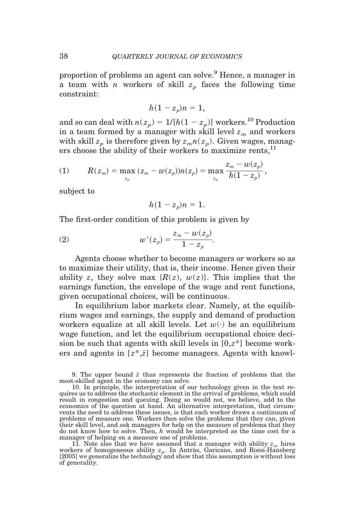proportion of problems an agent can solve.<sup>9</sup> Hence, a manager in a team with *n* workers of skill  $z_n$  faces the following time constraint:

$$
h(1-z_p)n=1,
$$

and so can deal with  $n(z_n) = 1/[h(1 - z_n)]$  workers.<sup>10</sup> Production in a team formed by a manager with skill level  $z_m$  and workers with skill  $z_n$  is therefore given by  $z_m n(z_p)$ . Given wages, managers choose the ability of their workers to maximize rents.<sup>11</sup>

(1) 
$$
R(z_m) = \max_{z_p} (z_m - w(z_p))n(z_p) = \max_{z_p} \frac{z_m - w(z_p)}{h(1 - z_p)},
$$

subject to

$$
h(1-z_p)n=1.
$$

The first-order condition of this problem is given by

(2) 
$$
w'(z_p) = \frac{z_m - w(z_p)}{1 - z_p}.
$$

Agents choose whether to become managers or workers so as to maximize their utility, that is, their income. Hence given their ability z, they solve max  $\{R(z), w(z)\}\$ . This implies that the earnings function, the envelope of the wage and rent functions, given occupational choices, will be continuous.

In equilibrium labor markets clear. Namely, at the equilibrium wages and earnings, the supply and demand of production workers equalize at all skill levels. Let  $w(\cdot)$  be an equilibrium wage function, and let the equilibrium occupational choice decision be such that agents with skill levels in  $[0, z^*]$  become workers and agents in  $[z^*,\overline{z}]$  become managers. Agents with knowl-

9. The upper bound  $\overline{z}$  thus represents the fraction of problems that the most-skilled agent in the economy can solve.

10. In principle, the interpretation of our technology given in the text requires us to address the stochastic element in the arrival of problems, which could result in congestion and queuing. Doing so would not, we believe, add to the economics of the question at hand. An alternative interpretation, that circumvents the need to address these issues, is that each worker draws a continuum of problems of measure one. Workers then solve the problems that they can, given their skill level, and ask managers for help on the measure of problems that they do not know how to solve. Then,  $h$  would be interpreted as the time cost for a manager of helping on a measure one of problems.

11. Note also that we have assumed that a manager with ability  $z_m$  hires<br>workers of homogeneous ability  $z_p$ . In Antràs, Garicano, and Rossi-Hansberg<br>[2005] we generalize the technology and show that this assumption is w of generality.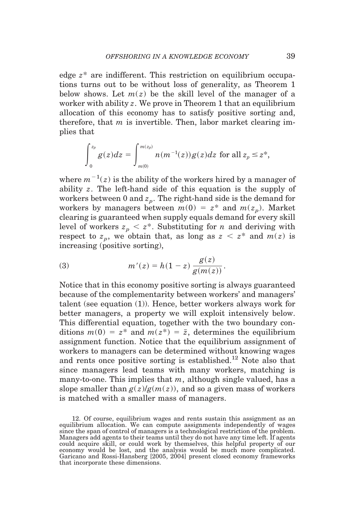edge  $z^*$  are indifferent. This restriction on equilibrium occupations turns out to be without loss of generality, as Theorem 1 below shows. Let  $m(z)$  be the skill level of the manager of a worker with ability  $z$ . We prove in Theorem 1 that an equilibrium allocation of this economy has to satisfy positive sorting and, therefore, that  $m$  is invertible. Then, labor market clearing implies that

$$
\int_0^{z_p} g(z)dz = \int_{m(0)}^{m(z_p)} n(m^{-1}(z))g(z)dz \text{ for all } z_p \leq z^*.
$$

where  $m^{-1}(z)$  is the ability of the workers hired by a manager of ability  $z$ . The left-hand side of this equation is the supply of workers between 0 and  $z_p$ . The right-hand side is the demand for workers by managers between  $m(0) = z^*$  and  $m(z_n)$ . Market clearing is guaranteed when supply equals demand for every skill level of workers  $z_n < z^*$ . Substituting for *n* and deriving with respect to  $z_n$ , we obtain that, as long as  $z \leq z^*$  and  $m(z)$  is increasing (positive sorting).

(3) 
$$
m'(z) = h(1-z) \frac{g(z)}{g(m(z))}
$$

Notice that in this economy positive sorting is always guaranteed because of the complementarity between workers' and managers' talent (see equation  $(1)$ ). Hence, better workers always work for better managers, a property we will exploit intensively below. This differential equation, together with the two boundary conditions  $m(0) = z^*$  and  $m(z^*) = \overline{z}$ , determines the equilibrium assignment function. Notice that the equilibrium assignment of workers to managers can be determined without knowing wages and rents once positive sorting is established.<sup>12</sup> Note also that since managers lead teams with many workers, matching is many-to-one. This implies that  $m$ , although single valued, has a slope smaller than  $g(z)/g(m(z))$ , and so a given mass of workers is matched with a smaller mass of managers.

<sup>12.</sup> Of course, equilibrium wages and rents sustain this assignment as an equilibrium allocation. We can compute assignments independently of wages<br>since the span of control of managers is a technological restriction of the problem. Managers add agents to their teams until they do not have any time left. If agents could acquire skill, or could work by themselves, this helpful property of our economy would be lost, and the analysis would be much more complicated. Garicano and Rossi-Hansberg [2005, 2004] present closed economy frameworks that incorporate these dimensions.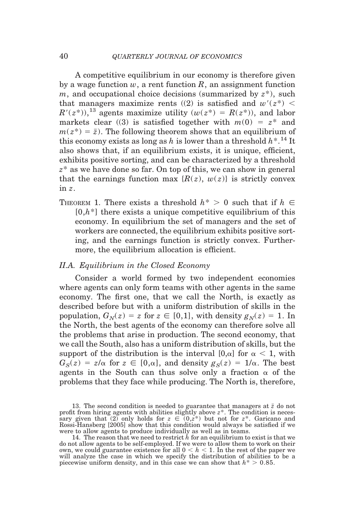A competitive equilibrium in our economy is therefore given by a wage function  $w$ , a rent function  $R$ , an assignment function m, and occupational choice decisions (summarized by  $z^*$ ), such that managers maximize rents ((2) is satisfied and  $w'(z^*)$  <  $R'(z^*))$ , <sup>13</sup> agents maximize utility  $(w(z^*) = R(z^*))$ , and labor markets clear ((3) is satisfied together with  $m(0) = z^*$  and  $m(z^*) = \overline{z}$ ). The following theorem shows that an equilibrium of this economy exists as long as h is lower than a threshold  $h^{*}$ .<sup>14</sup> It also shows that, if an equilibrium exists, it is unique, efficient, exhibits positive sorting, and can be characterized by a threshold  $z^*$  as we have done so far. On top of this, we can show in general that the earnings function max  $\{R(z), w(z)\}\$ is strictly convex  $\frac{1}{2}$ 

THEOREM 1. There exists a threshold  $h^* > 0$  such that if  $h \in$  $[0,h^*]$  there exists a unique competitive equilibrium of this economy. In equilibrium the set of managers and the set of workers are connected, the equilibrium exhibits positive sorting, and the earnings function is strictly convex. Furthermore, the equilibrium allocation is efficient.

# II.A. Equilibrium in the Closed Economy

Consider a world formed by two independent economies where agents can only form teams with other agents in the same economy. The first one, that we call the North, is exactly as described before but with a uniform distribution of skills in the population,  $G_{N}(z) = z$  for  $z \in [0,1]$ , with density  $g_{N}(z) = 1$ . In the North, the best agents of the economy can therefore solve all the problems that arise in production. The second economy, that we call the South, also has a uniform distribution of skills, but the support of the distribution is the interval  $[0,\alpha]$  for  $\alpha < 1$ , with  $G_S(z) = z/\alpha$  for  $z \in [0,\alpha]$ , and density  $g_S(z) = 1/\alpha$ . The best agents in the South can thus solve only a fraction  $\alpha$  of the problems that they face while producing. The North is, therefore,

<sup>13.</sup> The second condition is needed to guarantee that managers at  $\bar{z}$  do not profit from hiring agents with abilities slightly above  $z^*$ . The condition is necessary given that (2) only holds for  $z \in (0,z^*)$  but not for  $z^*$ . Garicano and Experiment (2005) show that this condition would always be satisfied if we<br>were to allow agents to produce individually as well as in teams.

<sup>14.</sup> The reason that we need to restrict  $\hat{h}$  for an equilibrium to exist is that we do not allow agents to be self-employed. If we were to allow them to work on their<br>own, we could guarantee existence for all  $0 < h < 1$ . In the rest of the paper we will analyze the case in which we specify the distribution of abilities to be a piecewise uniform density, and in this case we can show that  $h^* > 0.85$ .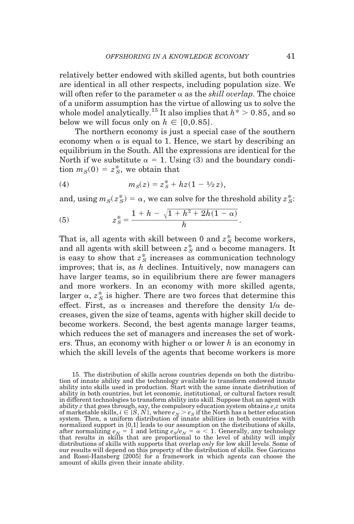relatively better endowed with skilled agents, but both countries are identical in all other respects, including population size. We will often refer to the parameter  $\alpha$  as the *skill overlap*. The choice of a uniform assumption has the virtue of allowing us to solve the whole model analytically.<sup>15</sup> It also implies that  $h^* > 0.85$ , and so below we will focus only on  $h \in [0, 0.85]$ .

The northern economy is just a special case of the southern economy when  $\alpha$  is equal to 1. Hence, we start by describing an equilibrium in the South. All the expressions are identical for the North if we substitute  $\alpha = 1$ . Using (3) and the boundary condition  $m_S(0) = z_S^*$ , we obtain that

(4) 
$$
m_S(z) = z_S^* + hz(1 - \frac{1}{2}z),
$$

and, using  $m_S(z_S^*) = \alpha$ , we can solve for the threshold ability  $z_S^*$ :

(5) 
$$
z_S^* = \frac{1 + h - \sqrt{1 + h^2 + 2h(1 - \alpha)}}{h}
$$

That is, all agents with skill between 0 and  $z_S^*$  become workers, and all agents with skill between  $z_s^*$  and  $\alpha$  become managers. It is easy to show that  $z^*$  increases as communication technology improves; that is, as  $h$  declines. Intuitively, now managers can have larger teams, so in equilibrium there are fewer managers and more workers. In an economy with more skilled agents, larger  $\alpha$ ,  $z^*_{\sigma}$  is higher. There are two forces that determine this effect. First, as  $\alpha$  increases and therefore the density  $1/\alpha$  decreases, given the size of teams, agents with higher skill decide to become workers. Second, the best agents manage larger teams, which reduces the set of managers and increases the set of workers. Thus, an economy with higher  $\alpha$  or lower h is an economy in which the skill levels of the agents that become workers is more

<sup>15.</sup> The distribution of skills across countries depends on both the distribution of innate ability and the technology available to transform endowed innate ability into skills used in production. Start with the same innate distribution of ability in both countries, but let economic, institutional, or cultural factors result<br>in different technologies to transform ability into skill. Suppose that an agent with m university that goes throughs a via insulation system obtains  $e_i z$  units<br>of marketable skills,  $i \in (S, N)$ , where  $e_N > e_S$  if the North has a better education<br>system. Then, a uniform distribution of innate abilities in b system. Then, a union unstablished support in [0,1] leads to our assumption on the distributions of skills,<br>after normalized support in [0,1] leads to our assumption on the distributions of skills,<br>after normalizing  $e_N =$ and Rossi-Hansberg [2005] for a framework in which agents can choose the amount of skills given their innate ability.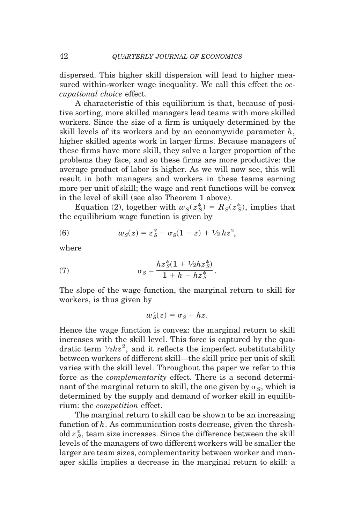dispersed. This higher skill dispersion will lead to higher measured within-worker wage inequality. We call this effect the occupational choice effect.

A characteristic of this equilibrium is that, because of positive sorting, more skilled managers lead teams with more skilled workers. Since the size of a firm is uniquely determined by the skill levels of its workers and by an economywide parameter  $h$ . higher skilled agents work in larger firms. Because managers of these firms have more skill, they solve a larger proportion of the problems they face, and so these firms are more productive: the average product of labor is higher. As we will now see, this will result in both managers and workers in these teams earning more per unit of skill; the wage and rent functions will be convex in the level of skill (see also Theorem 1 above).

Equation (2), together with  $w_S(z_S^*) = R_S(z_S^*)$ , implies that the equilibrium wage function is given by

(6) 
$$
w_S(z) = z_S^* - \sigma_S(1-z) + \frac{1}{2}h z^2,
$$

where

(7) 
$$
\sigma_S = \frac{hz_S^*(1 + \frac{1}{2}hz_S^*)}{1 + h - hz_S^*}.
$$

The slope of the wage function, the marginal return to skill for workers, is thus given by

$$
w'_{S}(z) = \sigma_{S} + h z.
$$

Hence the wage function is convex: the marginal return to skill increases with the skill level. This force is captured by the quadratic term  $1/2hz^2$ , and it reflects the imperfect substitutability between workers of different skill—the skill price per unit of skill varies with the skill level. Throughout the paper we refer to this force as the *complementarity* effect. There is a second determinant of the marginal return to skill, the one given by  $\sigma_S$ , which is determined by the supply and demand of worker skill in equilibrium: the *competition* effect.

The marginal return to skill can be shown to be an increasing function of  $h$ . As communication costs decrease, given the threshold  $z_s^*$ , team size increases. Since the difference between the skill levels of the managers of two different workers will be smaller the larger are team sizes, complementarity between worker and manager skills implies a decrease in the marginal return to skill: a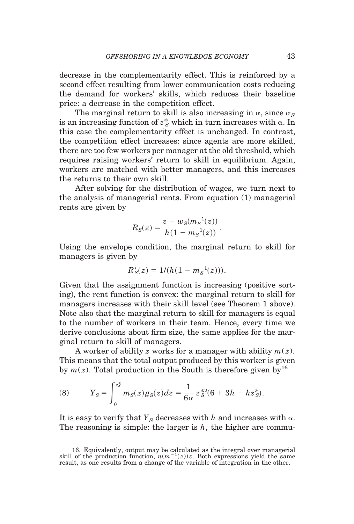decrease in the complementarity effect. This is reinforced by a second effect resulting from lower communication costs reducing the demand for workers' skills, which reduces their baseline price: a decrease in the competition effect.

The marginal return to skill is also increasing in  $\alpha$ , since  $\sigma_{\alpha}$ is an increasing function of  $z^*$  which in turn increases with  $\alpha$ . In this case the complementarity effect is unchanged. In contrast, the competition effect increases: since agents are more skilled, there are too few workers per manager at the old threshold, which requires raising workers' return to skill in equilibrium. Again, workers are matched with better managers, and this increases the returns to their own skill.

After solving for the distribution of wages, we turn next to the analysis of managerial rents. From equation (1) managerial rents are given by

$$
R_S(z) = \frac{z - w_S(m_S^{-1}(z))}{h(1 - m_S^{-1}(z))}.
$$

Using the envelope condition, the marginal return to skill for managers is given by

$$
R'_{S}(z) = 1/(h(1 - m_{S}^{-1}(z))).
$$

Given that the assignment function is increasing (positive sorting), the rent function is convex: the marginal return to skill for managers increases with their skill level (see Theorem 1 above). Note also that the marginal return to skill for managers is equal to the number of workers in their team. Hence, every time we derive conclusions about firm size, the same applies for the marginal return to skill of managers.

A worker of ability z works for a manager with ability  $m(z)$ . This means that the total output produced by this worker is given by  $m(z)$ . Total production in the South is therefore given by <sup>16</sup>

(8) 
$$
Y_S = \int_0^{\frac{z}{s}} m_S(z) g_S(z) dz = \frac{1}{6\alpha} z_S^{*2} (6 + 3h - h z_S^*).
$$

It is easy to verify that  $Y_s$  decreases with h and increases with  $\alpha$ . The reasoning is simple: the larger is  $h$ , the higher are commu-

16. Equivalently, output may be calculated as the integral over managerial skill of the production function,  $n(m<sup>-1</sup>(z))z$ . Both expressions yield the same result, as one results from a change of the variable of integration in the other.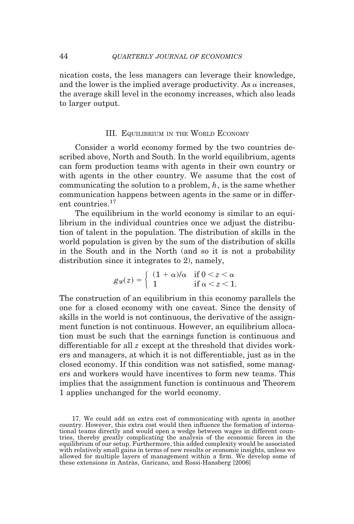nication costs, the less managers can leverage their knowledge, and the lower is the implied average productivity. As  $\alpha$  increases, the average skill level in the economy increases, which also leads to larger output.

#### **III. EQUILIBRIUM IN THE WORLD ECONOMY**

Consider a world economy formed by the two countries described above, North and South. In the world equilibrium, agents can form production teams with agents in their own country or with agents in the other country. We assume that the cost of communicating the solution to a problem,  $h$ , is the same whether communication happens between agents in the same or in different countries.<sup>17</sup>

The equilibrium in the world economy is similar to an equilibrium in the individual countries once we adjust the distribution of talent in the population. The distribution of skills in the world population is given by the sum of the distribution of skills in the South and in the North (and so it is not a probability distribution since it integrates to 2), namely,

$$
g_W(z) = \left\{ \begin{array}{ll} (1+\alpha)/\alpha & \text{if } 0 < z < \alpha \\ 1 & \text{if } \alpha < z < 1. \end{array} \right.
$$

The construction of an equilibrium in this economy parallels the one for a closed economy with one caveat. Since the density of skills in the world is not continuous, the derivative of the assignment function is not continuous. However, an equilibrium allocation must be such that the earnings function is continuous and differentiable for all  $z$  except at the threshold that divides workers and managers, at which it is not differentiable, just as in the closed economy. If this condition was not satisfied, some managers and workers would have incentives to form new teams. This implies that the assignment function is continuous and Theorem 1 applies unchanged for the world economy.

<sup>17.</sup> We could add an extra cost of communicating with agents in another country. However, this extra cost would then influence the formation of international teams directly and would open a wedge between wages in different countries, thereby greatly complicating the analysis of the economic forces in the<br>equilibrium of our setup. Furthermore, this added complexity would be associated with relatively small gains in terms of new results or economic insights, unless we allowed for multiple layers of management within a firm. We develop some of these extensions in Antràs, Garicano, and Rossi-Hansberg [2006]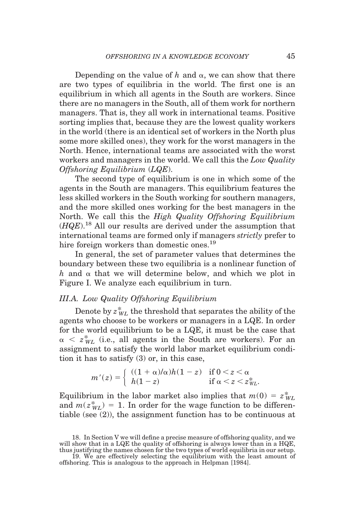Depending on the value of h and  $\alpha$ , we can show that there are two types of equilibria in the world. The first one is an equilibrium in which all agents in the South are workers. Since there are no managers in the South, all of them work for northern managers. That is, they all work in international teams. Positive sorting implies that, because they are the lowest quality workers in the world (there is an identical set of workers in the North plus some more skilled ones), they work for the worst managers in the North. Hence, international teams are associated with the worst workers and managers in the world. We call this the Low Quality Offshoring Equilibrium (LQE).

The second type of equilibrium is one in which some of the agents in the South are managers. This equilibrium features the less skilled workers in the South working for southern managers, and the more skilled ones working for the best managers in the North. We call this the High Quality Offshoring Equilibrium  $(HQE)$ .<sup>18</sup> All our results are derived under the assumption that international teams are formed only if managers *strictly* prefer to hire foreign workers than domestic ones.<sup>19</sup>

In general, the set of parameter values that determines the boundary between these two equilibria is a nonlinear function of h and  $\alpha$  that we will determine below, and which we plot in Figure I. We analyze each equilibrium in turn.

# **III.A.** Low Quality Offshoring Equilibrium

Denote by  $z_{\rm wz}^*$  the threshold that separates the ability of the agents who choose to be workers or managers in a LQE. In order for the world equilibrium to be a LQE, it must be the case that  $\alpha < z_{\text{wV}}^*$  (i.e., all agents in the South are workers). For an assignment to satisfy the world labor market equilibrium condition it has to satisfy  $(3)$  or, in this case,

$$
m'(z) = \begin{cases} ((1+\alpha)/\alpha)h(1-z) & \text{if } 0 < z < \alpha \\ h(1-z) & \text{if } \alpha < z < z_{WL}^*.\end{cases}
$$

Equilibrium in the labor market also implies that  $m(0) = z_{\text{wr}}^*$ and  $m(z_{\text{wr}}^*) = 1$ . In order for the wage function to be differentiable (see  $(2)$ ), the assignment function has to be continuous at

<sup>18.</sup> In Section V we will define a precise measure of offshoring quality, and we will show that in a LQE the quality of offshoring is always lower than in a HQE,<br>thus justifying the names chosen for the two types of world equilibria in our setup.

<sup>19.</sup> We are effectively selecting the equilibrium with the least amount of offshoring. This is analogous to the approach in Helpman [1984].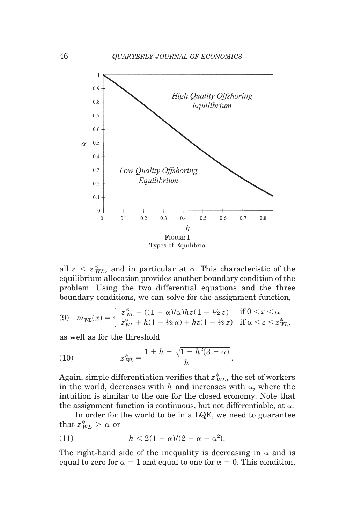

all  $z \leq z_{WL}^*$ , and in particular at  $\alpha$ . This characteristic of the equilibrium allocation provides another boundary condition of the problem. Using the two differential equations and the three boundary conditions, we can solve for the assignment function,

$$
(9) \quad m_{\text{WL}}(z) = \begin{cases} z_{\text{WL}}^* + ((1 - \alpha)/\alpha)hz(1 - \frac{1}{2}z) & \text{if } 0 < z < \alpha \\ z_{\text{WL}}^* + h(1 - \frac{1}{2}\alpha) + hz(1 - \frac{1}{2}z) & \text{if } \alpha < z < z_{\text{WL}}^* \end{cases}
$$

as well as for the threshold

(10) 
$$
z_{WL}^{*} = \frac{1 + h - \sqrt{1 + h^{2}(3 - \alpha)}}{h}
$$

Again, simple differentiation verifies that  $z_{WL}^*$ , the set of workers in the world, decreases with h and increases with  $\alpha$ , where the intuition is similar to the one for the closed economy. Note that the assignment function is continuous, but not differentiable, at  $\alpha$ .

In order for the world to be in a LQE, we need to guarantee that  $z_{WI}^* > \alpha$  or

(11) 
$$
h < 2(1-\alpha)/(2+\alpha-\alpha^2).
$$

The right-hand side of the inequality is decreasing in  $\alpha$  and is equal to zero for  $\alpha = 1$  and equal to one for  $\alpha = 0$ . This condition,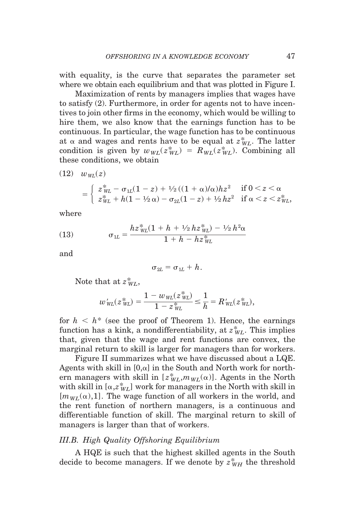with equality, is the curve that separates the parameter set where we obtain each equilibrium and that was plotted in Figure I.

Maximization of rents by managers implies that wages have to satisfy (2). Furthermore, in order for agents not to have incentives to join other firms in the economy, which would be willing to hire them, we also know that the earnings function has to be continuous. In particular, the wage function has to be continuous at  $\alpha$  and wages and rents have to be equal at  $z_{WL}^*$ . The latter condition is given by  $w_{WI}(z_{WI}^*) = R_{WI}(z_{WI}^*)$ . Combining all these conditions, we obtain

(12) 
$$
w_{WL}(z) = \begin{cases} z_{WL}^{*} - \sigma_{1L}(1-z) + \frac{1}{2}((1+\alpha)/\alpha)hz^{2} & \text{if } 0 < z < \alpha \\ z_{WL}^{*} + h(1-\frac{1}{2}\alpha) - \sigma_{2L}(1-z) + \frac{1}{2}hz^{2} & \text{if } \alpha < z < z_{WL}^{*} \end{cases}
$$

where

(13) 
$$
\sigma_{1L} = \frac{hz_{WL}^*(1 + h + \frac{1}{2}hz_{WL}^*) - \frac{1}{2}h^2\alpha}{1 + h - hz_{WL}^*}
$$

and

$$
\sigma_{2L}^{}=\sigma_{1L}^{}+h.
$$

Note that at  $z_{\rm wz}^*$ .

$$
w'_{\text{WL}}(z_{\text{ WL}}^*) = \frac{1 - w_{\text{WL}}(z_{\text{ WL}}^*)}{1 - z_{\text{ WL}}^*} \leq \frac{1}{h} = R'_{\text{WL}}(z_{\text{ WL}}^*),
$$

for  $h < h^*$  (see the proof of Theorem 1). Hence, the earnings function has a kink, a nondifferentiability, at  $z_{WL}^*$ . This implies that, given that the wage and rent functions are convex, the marginal return to skill is larger for managers than for workers.

Figure II summarizes what we have discussed about a LQE. Agents with skill in  $[0,\alpha]$  in the South and North work for northern managers with skill in  $[z_{\pi i}^*, m_{\pi i}(\alpha)]$ . Agents in the North with skill in  $\left[\alpha, z_{WL}\right]$  work for managers in the North with skill in  $[m_{WL}(\alpha),1]$ . The wage function of all workers in the world, and the rent function of northern managers, is a continuous and differentiable function of skill. The marginal return to skill of managers is larger than that of workers.

# **III.B.** High Quality Offshoring Equilibrium

A HQE is such that the highest skilled agents in the South decide to become managers. If we denote by  $z_{WH}^*$  the threshold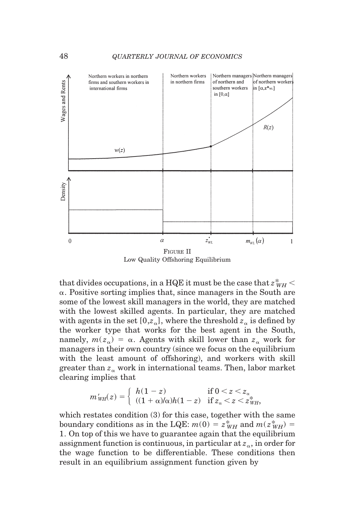

Low Quality Offshoring Equilibrium

that divides occupations, in a HQE it must be the case that  $z_{WH}^*$  <  $\alpha$ . Positive sorting implies that, since managers in the South are some of the lowest skill managers in the world, they are matched with the lowest skilled agents. In particular, they are matched with agents in the set  $[0, z_{\alpha}]$ , where the threshold  $z_{\alpha}$  is defined by the worker type that works for the best agent in the South, namely,  $m(z_0) = \alpha$ . Agents with skill lower than  $z_0$  work for managers in their own country (since we focus on the equilibrium with the least amount of offshoring), and workers with skill greater than  $z_{\alpha}$  work in international teams. Then, labor market clearing implies that

$$
m'_{WH}(z) = \begin{cases} h(1-z) & \text{if } 0 < z < z_\alpha \\ ((1+\alpha)/\alpha)h(1-z) & \text{if } z_\alpha < z < z_{WH}^* \end{cases}
$$

which restates condition  $(3)$  for this case, together with the same boundary conditions as in the LQE:  $m(0) = z_{WH}^*$  and  $m(z_{WH}^*)$  = 1. On top of this we have to guarantee again that the equilibrium assignment function is continuous, in particular at  $z_{\alpha}$ , in order for the wage function to be differentiable. These conditions then result in an equilibrium assignment function given by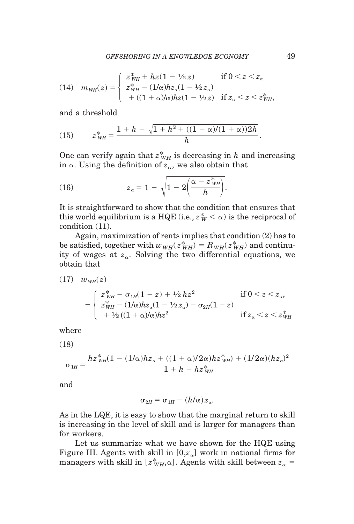(14) 
$$
m_{WH}(z) = \begin{cases} z_{WH}^{*} + hz(1 - \frac{1}{2}z) & \text{if } 0 < z < z_{\alpha} \\ z_{WH}^{*} - (1/\alpha)hz_{\alpha}(1 - \frac{1}{2}z_{\alpha}) \\ + ((1 + \alpha)/\alpha)hz(1 - \frac{1}{2}z) & \text{if } z_{\alpha} < z < z_{WH}^{*} \end{cases}
$$

and a threshold

(15) 
$$
z_{WH}^* = \frac{1 + h - \sqrt{1 + h^2 + ((1 - \alpha)/(1 + \alpha))2h}}{h}
$$

One can verify again that  $z_{WH}^*$  is decreasing in h and increasing in  $\alpha$ . Using the definition of  $z_{\alpha}$ , we also obtain that

$$
(16) \t\t\t z_{\alpha} = 1 - \sqrt{1 - 2\left(\frac{\alpha - z_{\mathit{WH}}^*}{h}\right)}.
$$

It is straightforward to show that the condition that ensures that this world equilibrium is a HQE (i.e.,  $z_{W}^{*} < \alpha$ ) is the reciprocal of condition  $(11)$ .

Again, maximization of rents implies that condition  $(2)$  has to be satisfied, together with  $w_{WH}(z_{WH}^*) = R_{WH}(z_{WH}^*)$  and continuity of wages at  $z_\alpha$ . Solving the two differential equations, we obtain that

 $(17)$   $w_{WH}(z)$ 

$$
= \left\{\begin{array}{ll} z_{\rm\scriptscriptstyle WH}^* - \sigma_{1H}(1-z) + \frac{1}{2}h z^2 & \text{if } 0 < z < z_{\alpha},\\ z_{\rm\scriptscriptstyle WH}^* - (1/\alpha) h z_{\alpha} (1-\frac{1}{2}z_{\alpha}) - \sigma_{2H}(1-z)\\ + \frac{1}{2} ((1+\alpha)/\alpha) h z^2 & \text{if } z_{\alpha} < z < z_{\rm\scriptscriptstyle WH}^* \end{array}\right.
$$

where

 $(18)$ 

$$
\sigma_{1H} = \frac{hz_{\text{WH}}^* (1 - (1/\alpha)hz_{\alpha} + ((1 + \alpha)/2\alpha)hz_{\text{WH}}^* ) + (1/2\alpha)(hz_{\alpha})^2}{1 + h - hz_{\text{WH}}^*}
$$

and

$$
\sigma_{2H} = \sigma_{1H} - (h/\alpha) z_{\alpha}.
$$

As in the LQE, it is easy to show that the marginal return to skill is increasing in the level of skill and is larger for managers than for workers.

Let us summarize what we have shown for the HQE using Figure III. Agents with skill in  $[0, z_{\alpha}]$  work in national firms for managers with skill in [ $z_{WH}^*$ , $\alpha$ ]. Agents with skill between  $z_{\alpha}$  =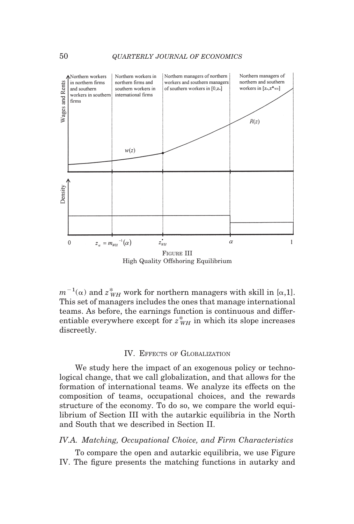

 $m^{-1}(\alpha)$  and  $z_{WH}^*$  work for northern managers with skill in [ $\alpha$ ,1]. This set of managers includes the ones that manage international teams. As before, the earnings function is continuous and differentiable everywhere except for  $z_{WH}^*$  in which its slope increases discreetly.

#### **IV EFFECTS OF GLOBALIZATION**

We study here the impact of an exogenous policy or technological change, that we call globalization, and that allows for the formation of international teams. We analyze its effects on the composition of teams, occupational choices, and the rewards structure of the economy. To do so, we compare the world equilibrium of Section III with the autarkic equilibria in the North and South that we described in Section II.

# IV.A. Matching, Occupational Choice, and Firm Characteristics

To compare the open and autarkic equilibria, we use Figure IV. The figure presents the matching functions in autarky and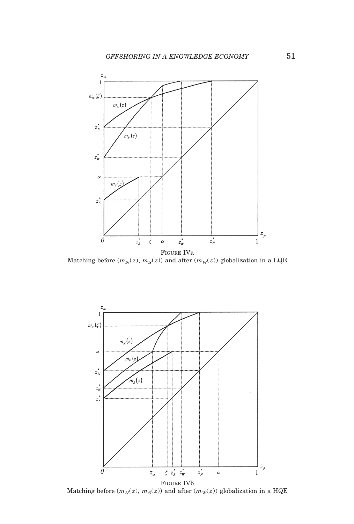

Matching before  $(m_N(z), m_S(z))$  and after  $(m_W(z))$  globalization in a LQE



Matching before  $(m_N(z), m_S(z))$  and after  $(m_W(z))$  globalization in a HQE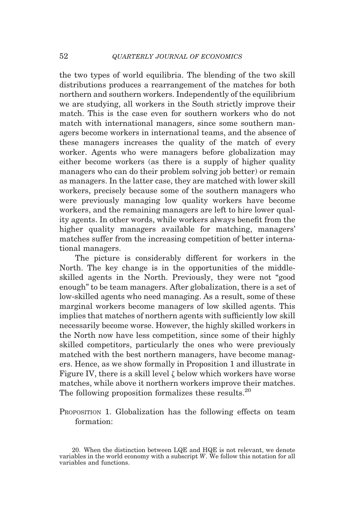the two types of world equilibria. The blending of the two skill distributions produces a rearrangement of the matches for both northern and southern workers. Independently of the equilibrium we are studying, all workers in the South strictly improve their match. This is the case even for southern workers who do not match with international managers, since some southern managers become workers in international teams, and the absence of these managers increases the quality of the match of every worker. Agents who were managers before globalization may either become workers (as there is a supply of higher quality managers who can do their problem solving job better) or remain as managers. In the latter case, they are matched with lower skill workers, precisely because some of the southern managers who were previously managing low quality workers have become workers, and the remaining managers are left to hire lower quality agents. In other words, while workers always benefit from the higher quality managers available for matching, managers' matches suffer from the increasing competition of better international managers.

The picture is considerably different for workers in the North. The key change is in the opportunities of the middleskilled agents in the North. Previously, they were not "good enough" to be team managers. After globalization, there is a set of low-skilled agents who need managing. As a result, some of these marginal workers become managers of low skilled agents. This implies that matches of northern agents with sufficiently low skill necessarily become worse. However, the highly skilled workers in the North now have less competition, since some of their highly skilled competitors, particularly the ones who were previously matched with the best northern managers, have become managers. Hence, as we show formally in Proposition 1 and illustrate in Figure IV, there is a skill level  $\zeta$  below which workers have worse matches, while above it northern workers improve their matches. The following proposition formalizes these results. $^{20}$ 

# PROPOSITION 1. Globalization has the following effects on team formation<sup>.</sup>

20. When the distinction between  $LQE$  and  $HQE$  is not relevant, we denote variables in the world economy with a subscript  $W$ . We follow this notation for all variables and functions.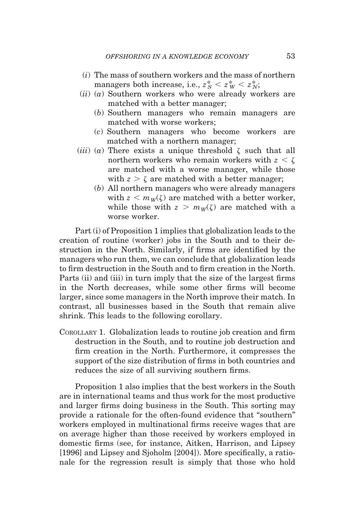- $(i)$  The mass of southern workers and the mass of northern managers both increase, i.e.,  $z_{S}^{*} \leq z_{W}^{*} \leq z_{N}^{*}$ ;
- $(ii)$  (a) Southern workers who were already workers are matched with a better manager;
	- $(b)$  Southern managers who remain managers are matched with worse workers:
	- (c) Southern managers who become workers are matched with a northern manager;
- (*iii*) (*a*) There exists a unique threshold  $\zeta$  such that all northern workers who remain workers with  $z < \zeta$ are matched with a worse manager, while those with  $z > \zeta$  are matched with a better manager:
	- $(b)$  All northern managers who were already managers with  $z \leq m_w(\zeta)$  are matched with a better worker. while those with  $z > m_w(\zeta)$  are matched with a worse worker

Part (i) of Proposition 1 implies that globalization leads to the creation of routine (worker) jobs in the South and to their destruction in the North. Similarly, if firms are identified by the managers who run them, we can conclude that globalization leads to firm destruction in the South and to firm creation in the North. Parts (ii) and (iii) in turn imply that the size of the largest firms in the North decreases, while some other firms will become larger, since some managers in the North improve their match. In contrast, all businesses based in the South that remain alive shrink. This leads to the following corollary.

COROLLARY 1. Globalization leads to routine job creation and firm destruction in the South, and to routine job destruction and firm creation in the North. Furthermore, it compresses the support of the size distribution of firms in both countries and reduces the size of all surviving southern firms.

Proposition 1 also implies that the best workers in the South are in international teams and thus work for the most productive and larger firms doing business in the South. This sorting may provide a rationale for the often-found evidence that "southern" workers employed in multinational firms receive wages that are on average higher than those received by workers employed in domestic firms (see, for instance, Aitken, Harrison, and Lipsey [1996] and Lipsey and Sjoholm [2004]). More specifically, a rationale for the regression result is simply that those who hold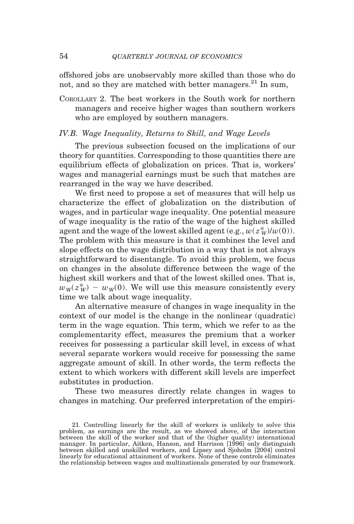offshored jobs are unobservably more skilled than those who do not, and so they are matched with better managers.<sup>21</sup> In sum,

COROLLARY 2. The best workers in the South work for northern managers and receive higher wages than southern workers who are employed by southern managers.

# IV.B. Wage Inequality, Returns to Skill, and Wage Levels

The previous subsection focused on the implications of our theory for quantities. Corresponding to those quantities there are equilibrium effects of globalization on prices. That is, workers' wages and managerial earnings must be such that matches are rearranged in the way we have described.

We first need to propose a set of measures that will help us characterize the effect of globalization on the distribution of wages, and in particular wage inequality. One potential measure of wage inequality is the ratio of the wage of the highest skilled agent and the wage of the lowest skilled agent (e.g.,  $w(z_w^*)/w(0)$ ). The problem with this measure is that it combines the level and slope effects on the wage distribution in a way that is not always straightforward to disentangle. To avoid this problem, we focus on changes in the absolute difference between the wage of the highest skill workers and that of the lowest skilled ones. That is,  $w_w(z_w^*) - w_w(0)$ . We will use this measure consistently every time we talk about wage inequality.

An alternative measure of changes in wage inequality in the context of our model is the change in the nonlinear (quadratic) term in the wage equation. This term, which we refer to as the complementarity effect, measures the premium that a worker receives for possessing a particular skill level, in excess of what several separate workers would receive for possessing the same aggregate amount of skill. In other words, the term reflects the extent to which workers with different skill levels are imperfect substitutes in production.

These two measures directly relate changes in wages to changes in matching. Our preferred interpretation of the empiri-

<sup>21.</sup> Controlling linearly for the skill of workers is unlikely to solve this problem, as earnings are the result, as we showed above, of the interaction between the skill of the worker and that of the (higher quality) international between the same of the worker Hanson, and Harrison [1996] only distinguish<br>between skilled and unskilled workers, and Lipsey and Sjoholm [2004] control linearly for educational attainment of workers. None of these controls eliminates the relationship between wages and multinationals generated by our framework.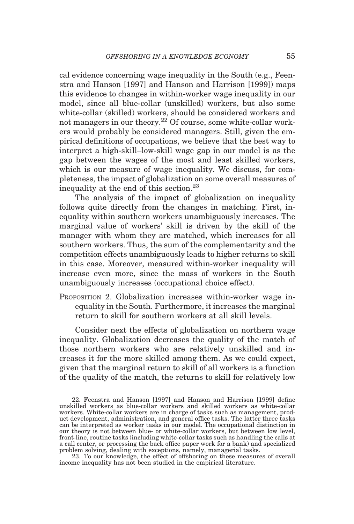cal evidence concerning wage inequality in the South (e.g., Feenstra and Hanson [1997] and Hanson and Harrison [1999]) maps this evidence to changes in within-worker wage inequality in our model, since all blue-collar (unskilled) workers, but also some white-collar (skilled) workers, should be considered workers and not managers in our theory.<sup>22</sup> Of course, some white-collar workers would probably be considered managers. Still, given the empirical definitions of occupations, we believe that the best way to interpret a high-skill-low-skill wage gap in our model is as the gap between the wages of the most and least skilled workers, which is our measure of wage inequality. We discuss, for completeness, the impact of globalization on some overall measures of inequality at the end of this section.<sup>23</sup>

The analysis of the impact of globalization on inequality follows quite directly from the changes in matching. First. inequality within southern workers unambiguously increases. The marginal value of workers' skill is driven by the skill of the manager with whom they are matched, which increases for all southern workers. Thus, the sum of the complementarity and the competition effects unambiguously leads to higher returns to skill in this case. Moreover, measured within-worker inequality will increase even more, since the mass of workers in the South unambiguously increases (occupational choice effect).

PROPOSITION 2. Globalization increases within-worker wage inequality in the South. Furthermore, it increases the marginal return to skill for southern workers at all skill levels

Consider next the effects of globalization on northern wage inequality. Globalization decreases the quality of the match of those northern workers who are relatively unskilled and increases it for the more skilled among them. As we could expect, given that the marginal return to skill of all workers is a function of the quality of the match, the returns to skill for relatively low

<sup>22.</sup> Feenstra and Hanson [1997] and Hanson and Harrison [1999] define unskilled workers as blue-collar workers and skilled workers as white-collar workers. White-collar workers are in charge of tasks such as management, pro uct development, administration, and general office tasks. The latter three tasks can be interpreted as worker tasks in our model. The occupational distinction in<br>our theory is not between blue- or white-collar workers, but between low level, front-line, routine tasks (including white-collar tasks such as handling the calls at a call center, or processing the back office paper work for a bank) and specialized<br>problem solving, dealing with exceptions, namely, managerial tasks.

<sup>23.</sup> To our knowledge, the effect of offshoring on these measures of overall income inequality has not been studied in the empirical literature.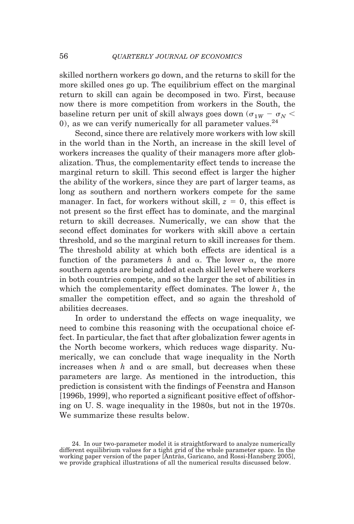skilled northern workers go down, and the returns to skill for the more skilled ones go up. The equilibrium effect on the marginal return to skill can again be decomposed in two. First, because now there is more competition from workers in the South, the baseline return per unit of skill always goes down  $(\sigma_{1W} - \sigma_N <$ 0), as we can verify numerically for all parameter values. $^{24}$ 

Second, since there are relatively more workers with low skill in the world than in the North, an increase in the skill level of workers increases the quality of their managers more after globalization. Thus, the complementarity effect tends to increase the marginal return to skill. This second effect is larger the higher the ability of the workers, since they are part of larger teams, as long as southern and northern workers compete for the same manager. In fact, for workers without skill,  $z = 0$ , this effect is not present so the first effect has to dominate, and the marginal return to skill decreases. Numerically, we can show that the second effect dominates for workers with skill above a certain threshold, and so the marginal return to skill increases for them. The threshold ability at which both effects are identical is a function of the parameters h and  $\alpha$ . The lower  $\alpha$ , the more southern agents are being added at each skill level where workers in both countries compete, and so the larger the set of abilities in which the complementarity effect dominates. The lower  $h$ , the smaller the competition effect, and so again the threshold of abilities decreases.

In order to understand the effects on wage inequality, we need to combine this reasoning with the occupational choice effect. In particular, the fact that after globalization fewer agents in the North become workers, which reduces wage disparity. Numerically, we can conclude that wage inequality in the North increases when  $h$  and  $\alpha$  are small, but decreases when these parameters are large. As mentioned in the introduction, this prediction is consistent with the findings of Feenstra and Hanson [1996b, 1999], who reported a significant positive effect of offshoring on U.S. wage inequality in the 1980s, but not in the 1970s. We summarize these results below

<sup>24.</sup> In our two-parameter model it is straightforward to analyze numerically different equilibrium values for a tight grid of the whole parameter space. In the working paper version of the paper [Antràs, Garicano, and Rossi we provide graphical illustrations of all the numerical results discussed below.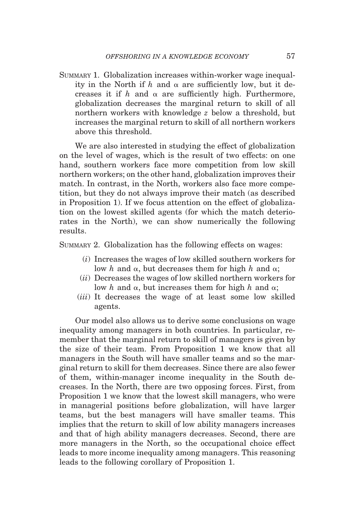SUMMARY 1. Globalization increases within-worker wage inequality in the North if h and  $\alpha$  are sufficiently low, but it decreases it if h and  $\alpha$  are sufficiently high. Furthermore, globalization decreases the marginal return to skill of all northern workers with knowledge  $z$  below a threshold, but increases the marginal return to skill of all northern workers above this threshold

We are also interested in studying the effect of globalization on the level of wages, which is the result of two effects: on one hand, southern workers face more competition from low skill northern workers; on the other hand, globalization improves their match. In contrast, in the North, workers also face more competition, but they do not always improve their match (as described in Proposition 1). If we focus attention on the effect of globalization on the lowest skilled agents (for which the match deteriorates in the North), we can show numerically the following results

SUMMARY 2. Globalization has the following effects on wages:

- $(i)$  Increases the wages of low skilled southern workers for low h and  $\alpha$ , but decreases them for high h and  $\alpha$ .
- (ii) Decreases the wages of low skilled northern workers for low h and  $\alpha$ , but increases them for high h and  $\alpha$ .
- (iii) It decreases the wage of at least some low skilled agents.

Our model also allows us to derive some conclusions on wage inequality among managers in both countries. In particular, remember that the marginal return to skill of managers is given by the size of their team. From Proposition 1 we know that all managers in the South will have smaller teams and so the marginal return to skill for them decreases. Since there are also fewer of them, within-manager income inequality in the South decreases. In the North, there are two opposing forces. First, from Proposition 1 we know that the lowest skill managers, who were in managerial positions before globalization, will have larger teams, but the best managers will have smaller teams. This implies that the return to skill of low ability managers increases and that of high ability managers decreases. Second, there are more managers in the North, so the occupational choice effect leads to more income inequality among managers. This reasoning leads to the following corollary of Proposition 1.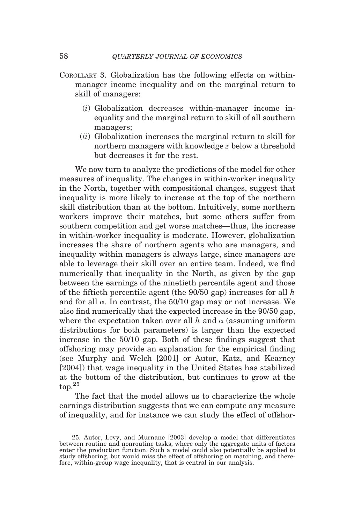- COROLLARY 3. Globalization has the following effects on withinmanager income inequality and on the marginal return to skill of managers:
	- $(i)$  Globalization decreases within-manager income inequality and the marginal return to skill of all southern managers;
	- $(ii)$  Globalization increases the marginal return to skill for northern managers with knowledge z below a threshold but decreases it for the rest

We now turn to analyze the predictions of the model for other measures of inequality. The changes in within-worker inequality in the North, together with compositional changes, suggest that inequality is more likely to increase at the top of the northern skill distribution than at the bottom. Intuitively, some northern workers improve their matches, but some others suffer from southern competition and get worse matches—thus, the increase in within-worker inequality is moderate. However, globalization increases the share of northern agents who are managers, and inequality within managers is always large, since managers are able to leverage their skill over an entire team. Indeed, we find numerically that inequality in the North, as given by the gap between the earnings of the ninetieth percentile agent and those of the fiftieth percentile agent (the  $90/50$  gap) increases for all h and for all  $\alpha$ . In contrast, the 50/10 gap may or not increase. We also find numerically that the expected increase in the 90/50 gap. where the expectation taken over all h and  $\alpha$  (assuming uniform distributions for both parameters) is larger than the expected increase in the  $50/10$  gap. Both of these findings suggest that offshoring may provide an explanation for the empirical finding (see Murphy and Welch [2001] or Autor, Katz, and Kearney [2004]) that wage inequality in the United States has stabilized at the bottom of the distribution, but continues to grow at the  $top.<sup>25</sup>$ 

The fact that the model allows us to characterize the whole earnings distribution suggests that we can compute any measure of inequality, and for instance we can study the effect of offshor-

<sup>25.</sup> Autor, Levy, and Murnane [2003] develop a model that differentiates extern routine and nonroutine tasks, where only the aggregate units of factors<br>enter the production function. Such a model could also potentially be applied to study offshoring, but would miss the effect of offshoring on matching, and therefore, within-group wage inequality, that is central in our analysis.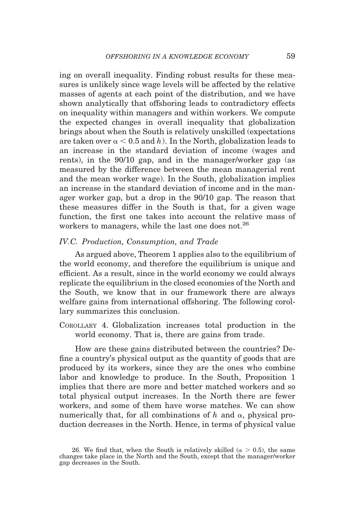ing on overall inequality. Finding robust results for these measures is unlikely since wage levels will be affected by the relative masses of agents at each point of the distribution, and we have shown analytically that offshoring leads to contradictory effects on inequality within managers and within workers. We compute the expected changes in overall inequality that globalization brings about when the South is relatively unskilled (expectations) are taken over  $\alpha$  < 0.5 and h). In the North, globalization leads to an increase in the standard deviation of income (wages and rents), in the 90/10 gap, and in the manager/worker gap (as measured by the difference between the mean managerial rent and the mean worker wage). In the South, globalization implies an increase in the standard deviation of income and in the manager worker gap, but a drop in the 90/10 gap. The reason that these measures differ in the South is that, for a given wage function, the first one takes into account the relative mass of workers to managers, while the last one does not.  $2^6$ 

# IV.C. Production, Consumption, and Trade

As argued above, Theorem 1 applies also to the equilibrium of the world economy, and therefore the equilibrium is unique and efficient. As a result, since in the world economy we could always replicate the equilibrium in the closed economies of the North and the South, we know that in our framework there are always welfare gains from international offshoring. The following corollary summarizes this conclusion.

COROLLARY 4. Globalization increases total production in the world economy. That is, there are gains from trade.

How are these gains distributed between the countries? Define a country's physical output as the quantity of goods that are produced by its workers, since they are the ones who combine labor and knowledge to produce. In the South, Proposition 1 implies that there are more and better matched workers and so total physical output increases. In the North there are fewer workers, and some of them have worse matches. We can show numerically that, for all combinations of h and  $\alpha$ , physical production decreases in the North. Hence, in terms of physical value

<sup>26.</sup> We find that, when the South is relatively skilled ( $\alpha > 0.5$ ), the same changes take place in the North and the South, except that the manager/worker gap decreases in the South.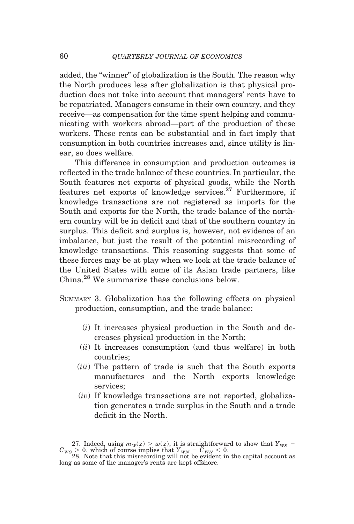added, the "winner" of globalization is the South. The reason why the North produces less after globalization is that physical production does not take into account that managers' rents have to be repatriated. Managers consume in their own country, and they receive—as compensation for the time spent helping and communicating with workers abroad—part of the production of these workers. These rents can be substantial and in fact imply that consumption in both countries increases and, since utility is linear, so does welfare.

This difference in consumption and production outcomes is reflected in the trade balance of these countries. In particular, the South features net exports of physical goods, while the North features net exports of knowledge services.<sup>27</sup> Furthermore, if knowledge transactions are not registered as imports for the South and exports for the North, the trade balance of the northern country will be in deficit and that of the southern country in surplus. This deficit and surplus is, however, not evidence of an imbalance, but just the result of the potential misrecording of knowledge transactions. This reasoning suggests that some of these forces may be at play when we look at the trade balance of the United States with some of its Asian trade partners, like China.<sup>28</sup> We summarize these conclusions below.

- SUMMARY 3. Globalization has the following effects on physical production, consumption, and the trade balance:
	- (i) It increases physical production in the South and decreases physical production in the North;
	- (ii) It increases consumption (and thus welfare) in both countries:
	- (*iii*) The pattern of trade is such that the South exports manufactures and the North exports knowledge services:
	- $(iv)$  If knowledge transactions are not reported, globalization generates a trade surplus in the South and a trade deficit in the North

<sup>27.</sup> Indeed, using  $m_{\rm W}(z) > w(z)$ , it is straightforward to show that  $Y_{\rm WS} - C_{\rm WS} > 0$ , which of course implies that  $Y_{\rm WN} - C_{\rm WN} < 0$ .<br>28. Note that this misrecording will not be evident in the capital account as long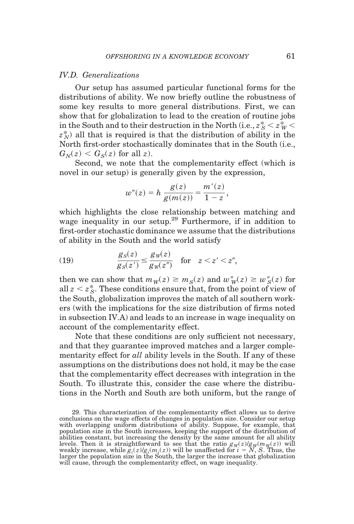#### **IVD** Generalizations

Our setup has assumed particular functional forms for the distributions of ability. We now briefly outline the robustness of some key results to more general distributions. First, we can show that for globalization to lead to the creation of routine jobs in the South and to their destruction in the North (i.e.,  $z^*_{\infty} < z^*_{w} <$  $z_{N}^{*}$ ) all that is required is that the distribution of ability in the North first-order stochastically dominates that in the South (i.e.,  $G_N(z) < G_S(z)$  for all z).

Second, we note that the complementarity effect (which is novel in our setup) is generally given by the expression,

$$
w''(z) = h \frac{g(z)}{g(m(z))} = \frac{m'(z)}{1 - z},
$$

which highlights the close relationship between matching and wage inequality in our setup.<sup>29</sup> Furthermore, if in addition to first-order stochastic dominance we assume that the distributions of ability in the South and the world satisfy

$$
(19) \qquad \qquad \frac{g_S(z)}{g_S(z')} \leq \frac{g_W(z)}{g_W(z'')} \quad \text{for} \quad z < z' < z'',
$$

then we can show that  $m_w(z) \geq m_s(z)$  and  $w''_w(z) \geq w''_s(z)$  for all  $z \leq z_{S}^{*}$ . These conditions ensure that, from the point of view of the South, globalization improves the match of all southern workers (with the implications for the size distribution of firms noted in subsection IV.A) and leads to an increase in wage inequality on account of the complementarity effect.

Note that these conditions are only sufficient not necessary, and that they guarantee improved matches and a larger complementarity effect for all ability levels in the South. If any of these assumptions on the distributions does not hold, it may be the case that the complementarity effect decreases with integration in the South. To illustrate this, consider the case where the distributions in the North and South are both uniform, but the range of

<sup>29.</sup> This characterization of the complementarity effect allows us to derive 2.5. This cancelerate tradition size. Consider our setup<br>with overlapping uniform distributions of ability. Suppose, for example, that<br>population size in the South increases, keeping the support of the distribution of<br>abil levels. Then it is straightforward to see that the ratio  $g_w(z)/g_w(m_w(z))$  will<br>weakly increase, while  $g_i(z)/g_i(m_i(z))$  will be unaffected for  $i = N$ , S. Thus, the larger the population size in the South, the larger the increase that globalization will cause, through the complementarity effect, on wage inequality.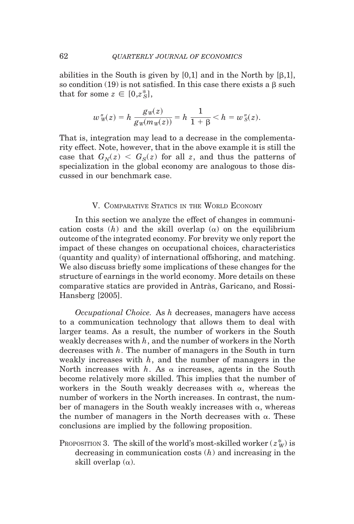abilities in the South is given by  $[0,1]$  and in the North by  $[0,1]$ , so condition  $(19)$  is not satisfied. In this case there exists a  $\beta$  such that for some  $z \in [0, z<sup>*</sup>_{s}]$ ,

$$
w''_W(z) = h \frac{g_W(z)}{g_W(m_W(z))} = h \frac{1}{1 + \beta} < h = w''_S(z).
$$

That is, integration may lead to a decrease in the complementarity effect. Note, however, that in the above example it is still the case that  $G_N(z) < G_S(z)$  for all z, and thus the patterns of specialization in the global economy are analogous to those discussed in our benchmark case.

#### V. COMPARATIVE STATICS IN THE WORLD ECONOMY

In this section we analyze the effect of changes in communication costs (h) and the skill overlap ( $\alpha$ ) on the equilibrium outcome of the integrated economy. For brevity we only report the impact of these changes on occupational choices, characteristics (quantity and quality) of international offshoring, and matching. We also discuss briefly some implications of these changes for the structure of earnings in the world economy. More details on these comparative statics are provided in Antràs, Garicano, and Rossi-Hansberg [2005].

Occupational Choice. As h decreases, managers have access to a communication technology that allows them to deal with larger teams. As a result, the number of workers in the South weakly decreases with  $h$ , and the number of workers in the North decreases with  $h$ . The number of managers in the South in turn weakly increases with  $h$ , and the number of managers in the North increases with h. As  $\alpha$  increases, agents in the South become relatively more skilled. This implies that the number of workers in the South weakly decreases with  $\alpha$ , whereas the number of workers in the North increases. In contrast, the number of managers in the South weakly increases with  $\alpha$ , whereas the number of managers in the North decreases with  $\alpha$ . These conclusions are implied by the following proposition.

PROPOSITION 3. The skill of the world's most-skilled worker  $(z<sub>W</sub><sup>*</sup>)$  is decreasing in communication costs  $(h)$  and increasing in the skill overlap  $(\alpha)$ .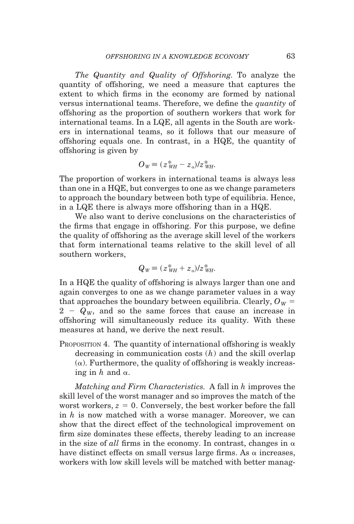The Quantity and Quality of Offshoring. To analyze the quantity of offshoring, we need a measure that captures the  $\frac{1}{2}$  extent to which firms in the economy are formed by national versus international teams. Therefore, we define the *quantity* of offshoring as the proportion of southern workers that work for international teams. In a LQE, all agents in the South are workers in international teams, so it follows that our measure of offshoring equals one. In contrast, in a HQE, the quantity of offshoring is given by

$$
O_W \equiv (z_{WH}^* - z_{\alpha})/z_{WH}^*
$$

The proportion of workers in international teams is always less than one in a HQE, but converges to one as we change parameters to approach the boundary between both type of equilibria. Hence, in a LQE there is always more offshoring than in a HQE.

We also want to derive conclusions on the characteristics of the firms that engage in offshoring. For this purpose, we define the quality of offshoring as the average skill level of the workers that form international teams relative to the skill level of all southern workers,

$$
Q_W \equiv (z_{WH}^* + z_\alpha)/z_{WH}^*.
$$

In a HQE the quality of offshoring is always larger than one and again converges to one as we change parameter values in a way that approaches the boundary between equilibria. Clearly,  $O_w =$  $2 - Q_w$ , and so the same forces that cause an increase in offshoring will simultaneously reduce its quality. With these measures at hand, we derive the next result.

PROPOSITION 4. The quantity of international offshoring is weakly decreasing in communication costs  $(h)$  and the skill overlap  $(α)$ . Furthermore, the quality of offshoring is weakly increasing in h and  $\alpha$ .

Matching and Firm Characteristics. A fall in h improves the skill level of the worst manager and so improves the match of the worst workers,  $z = 0$ . Conversely, the best worker before the fall in  $h$  is now matched with a worse manager. Moreover, we can show that the direct effect of the technological improvement on firm size dominates these effects, thereby leading to an increase in the size of all firms in the economy. In contrast, changes in  $\alpha$ have distinct effects on small versus large firms. As  $\alpha$  increases, workers with low skill levels will be matched with better manag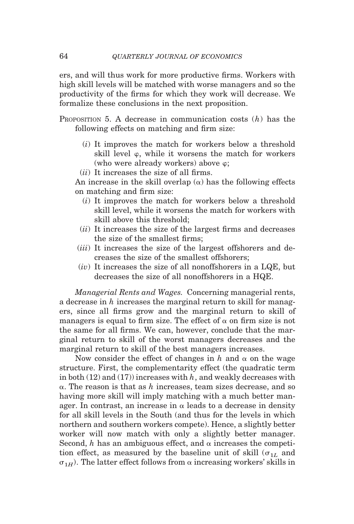ers, and will thus work for more productive firms. Workers with high skill levels will be matched with worse managers and so the productivity of the firms for which they work will decrease. We formalize these conclusions in the next proposition.

PROPOSITION 5. A decrease in communication costs  $(h)$  has the following effects on matching and firm size:

- $(i)$  It improves the match for workers below a threshold skill level  $\varphi$ , while it worsens the match for workers (who were already workers) above  $\varphi$ ;
- $(ii)$  It increases the size of all firms.

An increase in the skill overlap  $(\alpha)$  has the following effects on matching and firm size:

- $(i)$  It improves the match for workers below a threshold skill level, while it worsens the match for workers with skill above this threshold:
- $(ii)$  It increases the size of the largest firms and decreases the size of the smallest firms;
- (*iii*) It increases the size of the largest offshorers and decreases the size of the smallest offshorers:
- $(iv)$  It increases the size of all nonoffshorers in a LQE, but decreases the size of all nonoffshorers in a HQE.

Managerial Rents and Wages. Concerning managerial rents, a decrease in  $h$  increases the marginal return to skill for managers, since all firms grow and the marginal return to skill of managers is equal to firm size. The effect of  $\alpha$  on firm size is not the same for all firms. We can, however, conclude that the marginal return to skill of the worst managers decreases and the marginal return to skill of the best managers increases.

Now consider the effect of changes in h and  $\alpha$  on the wage structure. First, the complementarity effect (the quadratic term in both  $(12)$  and  $(17)$ ) increases with h, and weakly decreases with  $\alpha$ . The reason is that as h increases, team sizes decrease, and so having more skill will imply matching with a much better manager. In contrast, an increase in  $\alpha$  leads to a decrease in density for all skill levels in the South (and thus for the levels in which northern and southern workers compete). Hence, a slightly better worker will now match with only a slightly better manager. Second,  $h$  has an ambiguous effect, and  $\alpha$  increases the competition effect, as measured by the baseline unit of skill ( $\sigma_{1L}$  and  $\sigma_{1H}$ ). The latter effect follows from  $\alpha$  increasing workers' skills in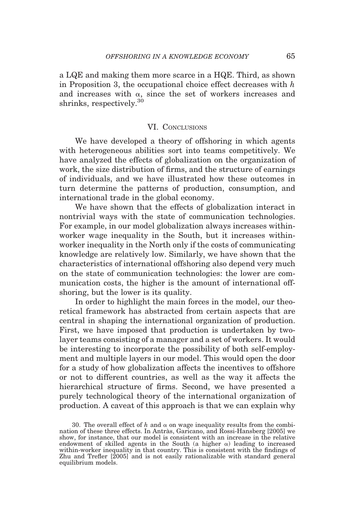a LQE and making them more scarce in a HQE. Third, as shown in Proposition 3, the occupational choice effect decreases with  $h$ and increases with  $\alpha$ , since the set of workers increases and shrinks, respectively.<sup>30</sup>

### **VI** CONCLUSIONS

We have developed a theory of offshoring in which agents with heterogeneous abilities sort into teams competitively. We have analyzed the effects of globalization on the organization of work, the size distribution of firms, and the structure of earnings of individuals, and we have illustrated how these outcomes in turn determine the patterns of production, consumption, and international trade in the global economy.

We have shown that the effects of globalization interact in nontrivial ways with the state of communication technologies. For example, in our model globalization always increases withinworker wage inequality in the South, but it increases withinworker inequality in the North only if the costs of communicating knowledge are relatively low. Similarly, we have shown that the characteristics of international offshoring also depend very much on the state of communication technologies: the lower are communication costs, the higher is the amount of international offshoring, but the lower is its quality.

In order to highlight the main forces in the model, our theoretical framework has abstracted from certain aspects that are central in shaping the international organization of production. First, we have imposed that production is undertaken by twolayer teams consisting of a manager and a set of workers. It would be interesting to incorporate the possibility of both self-employment and multiple layers in our model. This would open the door for a study of how globalization affects the incentives to offshore or not to different countries, as well as the way it affects the hierarchical structure of firms. Second, we have presented a purely technological theory of the international organization of production. A caveat of this approach is that we can explain why

<sup>30.</sup> The overall effect of  $h$  and  $\alpha$  on wage inequality results from the combination of these three effects. In Antràs, Garicano, and Rossi-Hansberg [2005] we show, for instance, that our model is consistent with an increase in the relative endowment of skilled agents in the South (a higher  $\alpha$ ) leading to increased<br>within-worker inequality in that country. This is consistent with the findings of Zhu and Trefler [2005] and is not easily rationalizable with standard general equilibrium models.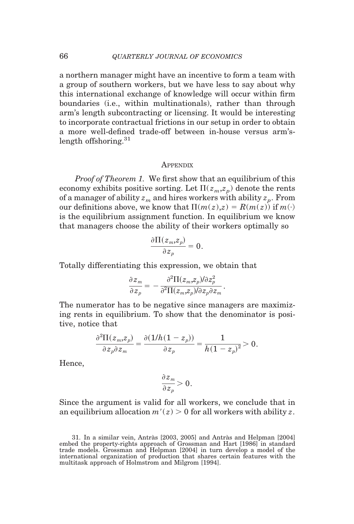a northern manager might have an incentive to form a team with a group of southern workers, but we have less to say about why this international exchange of knowledge will occur within firm boundaries (i.e., within multinationals), rather than through arm's length subcontracting or licensing. It would be interesting to incorporate contractual frictions in our setup in order to obtain a more well-defined trade-off between in-house versus arm'slength offshoring. $31$ 

#### **APPENDIX**

Proof of Theorem 1. We first show that an equilibrium of this economy exhibits positive sorting. Let  $\Pi(z_m, z_n)$  denote the rents of a manager of ability  $z_m$  and hires workers with ability  $z_n$ . From our definitions above, we know that  $\Pi(m(z),z) = R(m(z))$  if  $m(\cdot)$ is the equilibrium assignment function. In equilibrium we know that managers choose the ability of their workers optimally so

$$
\frac{\partial \Pi(z_m, z_p)}{\partial z_p} = 0.
$$

Totally differentiating this expression, we obtain that

$$
\frac{\partial z_m}{\partial z_p} = -\frac{\partial^2 \Pi(z_m, z_p) / \partial z_p^2}{\partial^2 \Pi(z_m, z_p) / \partial z_p \partial z_m}.
$$

The numerator has to be negative since managers are maximizing rents in equilibrium. To show that the denominator is positive, notice that

$$
\frac{\partial^2 \Pi(z_m, z_p)}{\partial z_p \partial z_m} = \frac{\partial (1/h(1-z_p))}{\partial z_p} = \frac{1}{h(1-z_p)^2} > 0.
$$

Hence.

$$
\frac{\partial z_m}{\partial z_p}>0
$$

Since the argument is valid for all workers, we conclude that in an equilibrium allocation  $m'(z) > 0$  for all workers with ability z.

<sup>31.</sup> In a similar vein, Antràs [2003, 2005] and Antràs and Helpman [2004] embed the property-rights approach of Grossman and Hart [1986] in standard<br>trade models. Grossman and Helpman [2004] in turn develop a model of the international organization of production that shares certain features with the multitask approach of Holmstrom and Milgrom [1994].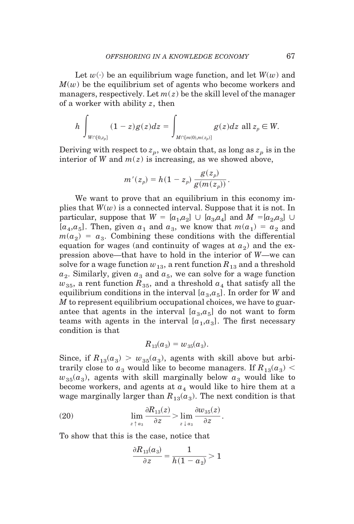Let  $w(\cdot)$  be an equilibrium wage function, and let  $W(w)$  and  $M(w)$  be the equilibrium set of agents who become workers and managers, respectively. Let  $m(z)$  be the skill level of the manager of a worker with ability  $z$ , then

$$
h\,\int_{W\cap[0,z_p]}(1-z)g(z)dz=\int_{M\cap[m(0),m(z_p)]}g(z)dz\,\,{\rm all}\,z_p\in W.
$$

Deriving with respect to  $z_n$ , we obtain that, as long as  $z_n$  is in the interior of W and  $m(z)$  is increasing, as we showed above,

$$
m^{\,\prime}(z_p)=h(1-z_p)\,\frac{g(z_p)}{g(m(z_p))}\,.
$$

We want to prove that an equilibrium in this economy implies that  $W(w)$  is a connected interval. Suppose that it is not. In particular, suppose that  $W = [a_1, a_2] \cup [a_3, a_4]$  and  $M = [a_3, a_3] \cup$  $[a_4, a_5]$ . Then, given  $a_1$  and  $a_3$ , we know that  $m(a_1) = a_2$  and  $m(a_2) = a_3$ . Combining these conditions with the differential equation for wages (and continuity of wages at  $a_2$ ) and the expression above—that have to hold in the interior of W—we can solve for a wage function  $w_{13}$ , a rent function  $R_{13}$  and a threshold  $a_2$ . Similarly, given  $a_3$  and  $a_5$ , we can solve for a wage function  $w_{35}$ , a rent function  $R_{35}$ , and a threshold  $a_4$  that satisfy all the equilibrium conditions in the interval  $[a_3, a_5]$ . In order for W and  $M$  to represent equilibrium occupational choices, we have to guarantee that agents in the interval  $[a_3, a_5]$  do not want to form teams with agents in the interval  $[a_1, a_3]$ . The first necessary condition is that

$$
R_{13}(a_3) = w_{35}(a_3).
$$

Since, if  $R_{13}(a_3) > w_{35}(a_3)$ , agents with skill above but arbitrarily close to  $a_3$  would like to become managers. If  $R_{13}(a_3)$  <  $w_{35}(a_3)$ , agents with skill marginally below  $a_3$  would like to become workers, and agents at  $a_4$  would like to hire them at a wage marginally larger than  $R_{13}(a_3)$ . The next condition is that

(20) 
$$
\lim_{z \uparrow a_3} \frac{\partial R_{13}(z)}{\partial z} > \lim_{z \downarrow a_3} \frac{\partial w_{35}(z)}{\partial z}
$$

To show that this is the case, notice that

$$
\frac{\partial R_{13}(a_3)}{\partial z}=\frac{1}{h(1-a_2)}>1
$$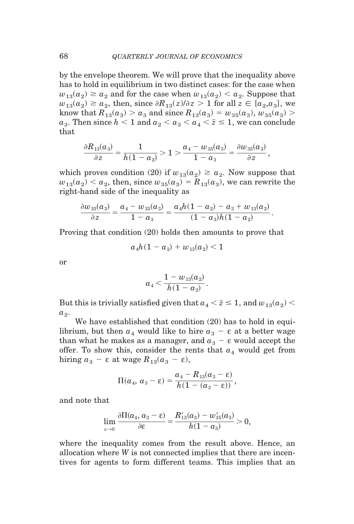by the envelope theorem. We will prove that the inequality above has to hold in equilibrium in two distinct cases: for the case when  $w_{13}(a_2) \ge a_2$  and for the case when  $w_{13}(a_2) < a_2$ . Suppose that  $w_{13}(a_2) \ge a_2$ , then, since  $\partial R_{13}(z)/\partial z > 1$  for all  $z \in [a_2, a_3]$ , we know that  $R_{13}(a_3) > a_3$  and since  $R_{13}(a_3) = w_{35}(a_3)$ ,  $w_{35}(a_3) > a_3$  $a_3$ . Then since  $h < 1$  and  $a_2 < a_3 < a_4 < \bar{z} \le 1$ , we can conclude that.

$$
\frac{\partial R_{13}(a_3)}{\partial z}=\frac{1}{h(1-a_2)}>1>\frac{a_4-w_{35}(a_3)}{1-a_3}=\frac{\partial w_{35}(a_3)}{\partial z},
$$

which proves condition (20) if  $w_{13}(a_2) \ge a_2$ . Now suppose that  $w_{13}(a_2) \leq a_2$ , then, since  $w_{35}(a_3) = R_{13}(a_3)$ , we can rewrite the right-hand side of the inequality as

$$
\frac{\partial w_{35}(a_3)}{\partial z} = \frac{a_4 - w_{35}(a_3)}{1 - a_3} = \frac{a_4 h (1 - a_2) - a_3 + w_{13}(a_2)}{(1 - a_3)h (1 - a_2)}
$$

Proving that condition (20) holds then amounts to prove that

$$
a_4h(1-a_2)+w_{13}(a_2)\leq 1
$$

or

$$
a_4\!<\!\frac{1-w_{13}(a_2)}{h(1-a_2)}.
$$

But this is trivially satisfied given that  $a_4 < \bar{z} \leq 1$ , and  $w_{13}(a_2) <$  $a_2$ .

We have established that condition (20) has to hold in equilibrium, but then  $a_4$  would like to hire  $a_3 - \varepsilon$  at a better wage than what he makes as a manager, and  $a_3$  –  $\varepsilon$  would accept the offer. To show this, consider the rents that  $a_4$  would get from hiring  $a_3$  –  $\varepsilon$  at wage  $R_{13}(a_3 - \varepsilon)$ ,

$$
\Pi(a_4, a_3 - \varepsilon) = \frac{a_4 - R_{13}(a_3 - \varepsilon)}{h(1 - (a_3 - \varepsilon))},
$$

and note that

$$
\lim_{\varepsilon\to 0}\frac{\partial\Pi(a_4,a_3-\varepsilon)}{\partial\epsilon}=\frac{R'_{13}(a_3)-w'_{35}(a_3)}{h(1-a_3)}>0,
$$

where the inequality comes from the result above. Hence, an allocation where W is not connected implies that there are incentives for agents to form different teams. This implies that an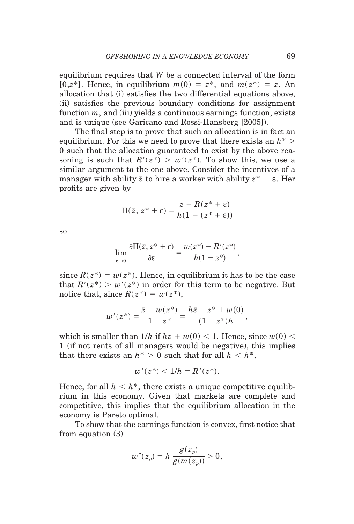equilibrium requires that W be a connected interval of the form  $[0, z^*]$ . Hence, in equilibrium  $m(0) = z^*$ , and  $m(z^*) = \overline{z}$ . An allocation that (i) satisfies the two differential equations above, (ii) satisfies the previous boundary conditions for assignment function  $m$ , and (iii) yields a continuous earnings function, exists and is unique (see Garicano and Rossi-Hansberg [2005]).

The final step is to prove that such an allocation is in fact an equilibrium. For this we need to prove that there exists an  $h^*$  > 0 such that the allocation guaranteed to exist by the above reasoning is such that  $R'(z^*) > w'(z^*)$ . To show this, we use a similar argument to the one above. Consider the incentives of a manager with ability  $\bar{z}$  to hire a worker with ability  $z^* + \varepsilon$ . Her profits are given by

$$
\Pi(\bar{z}, z^* + \varepsilon) = \frac{\bar{z} - R(z^* + \varepsilon)}{h(1 - (z^* + \varepsilon))}
$$

 $SO<sub>50</sub>$ 

$$
\lim_{\varepsilon \to 0} \frac{\partial \Pi(\bar{z}, z^* + \varepsilon)}{\partial \varepsilon} = \frac{w(z^*) - R'(z^*)}{h(1 - z^*)},
$$

since  $R(z^*) = w(z^*)$ . Hence, in equilibrium it has to be the case that  $R'(z^*) > w'(z^*)$  in order for this term to be negative. But notice that, since  $R(z^*) = w(z^*)$ .

$$
w'(z^*) = \frac{\bar{z} - w(z^*)}{1 - z^*} = \frac{h\bar{z} - z^* + w(0)}{(1 - z^*)h},
$$

which is smaller than  $1/h$  if  $h\overline{z} + w(0) < 1$ . Hence, since  $w(0) <$ 1 (if not rents of all managers would be negative), this implies that there exists an  $h^* > 0$  such that for all  $h < h^*$ .

$$
w'(z^*) < 1/h = R'(z^*).
$$

Hence, for all  $h \leq h^*$ , there exists a unique competitive equilibrium in this economy. Given that markets are complete and competitive, this implies that the equilibrium allocation in the economy is Pareto optimal.

To show that the earnings function is convex, first notice that from equation  $(3)$ 

$$
w''(z_p)=h\ \frac{g(z_p)}{g(m(z_p))}>0,
$$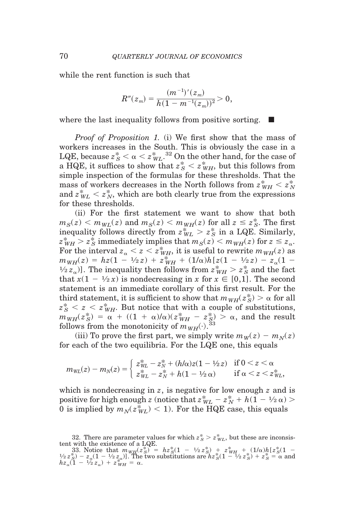while the rent function is such that

$$
R''(z_m)=\frac{(m^{-1})'(z_m)}{h(1-m^{-1}(z_m))^2}\!>0,
$$

where the last inequality follows from positive sorting.

Proof of Proposition 1. (i) We first show that the mass of workers increases in the South. This is obviously the case in a LQE, because  $z_S^* < \alpha < z_{WL}^*$ . <sup>32</sup> On the other hand, for the case of a HQE, it suffices to show that  $z_S^* < z_{WH}^*$ , but this follows from simple inspection of the formulas for these thresholds. That the mass of workers decreases in the North follows from  $z_{WH}^* < z_N^*$ and  $z_{\rm WL}^* < z_N^*$ , which are both clearly true from the expressions for these thresholds.

(ii) For the first statement we want to show that both  $m_S(z) < m_{WT}(z)$  and  $m_S(z) < m_{WH}(z)$  for all  $z \leq z_S^*$ . The first inequality follows directly from  $z_{WL}^* > z_{S}^*$  in a LQE. Similarly,  $z_{WH}^* > z_{S}^*$  immediately implies that  $m_S(z) < m_{WH}(z)$  for  $z \le z_{\alpha}$ . For the interval  $z_{\alpha} < z < z_{WH}^{*}$ , it is useful to rewrite  $m_{WH}(z)$  as  $m_{WH}(z) = hz(1 - \frac{1}{2}z) + z_{WH}^{*} + (1/\alpha)h[z(1 - \frac{1}{2}z) - z_{0}(1 \frac{1}{2}z_{\alpha}$ ). The inequality then follows from  $z_{WH}^* > z_{S}^*$  and the fact that  $x(1 - \frac{1}{2}x)$  is nondecreasing in x for  $x \in [0,1]$ . The second statement is an immediate corollary of this first result. For the third statement, it is sufficient to show that  $m_{WH}(z_s^*) > \alpha$  for all  $z_S^* < z < z_{WH}^*$ . But notice that with a couple of substitutions,  $m_{WH}(z_S^*) = \alpha + ((1 + \alpha)/\alpha)(z_{WH}^* - z_S^*) > \alpha$ , and the result follows from the monotonicity of  $m_{WH}(\cdot)$ .<sup>33</sup>

(iii) To prove the first part, we simply write  $m_w(z) - m_w(z)$ for each of the two equilibria. For the LQE one, this equals

$$
m_{WL}(z) - m_N(z) = \begin{cases} z_{WL}^* - z_N^* + (h/\alpha)z(1 - 1/2z) & \text{if } 0 < z < \alpha \\ z_{WL}^* - z_N^* + h(1 - 1/2\alpha) & \text{if } \alpha < z < z_{WL}^* \end{cases}
$$

which is nondecreasing in  $z$ , is negative for low enough  $z$  and is positive for high enough z (notice that  $z_{WL}^* - z_N^* + h(1 - \frac{1}{2}\alpha)$ ) 0 is implied by  $m_N(z_{\scriptscriptstyle WL}^*)$  < 1). For the HQE case, this equals

<sup>32.</sup> There are parameter values for which  $z_S^* > z_{WL}^*$ , but these are inconsis-

but with the existence of a LQE.<br>
33. Notice that  $m_{WH}(z_S^*) = hz_S^* (1 - \frac{1}{2}z_S^*) + z_{WH}^* + (\frac{1}{\alpha})h[z_S^*(1 - \frac{1}{2}z_S^*) - z_{\alpha}(1 - \frac{1}{2}z_{\alpha})]$ . The two substitutions are  $hz_S^*(1 - \frac{1}{2}z_S^*) + z_S^* = \alpha$  and  $hz_{\alpha}(1 - \frac{1}{2}z_{\alpha}) + z_{WH}^$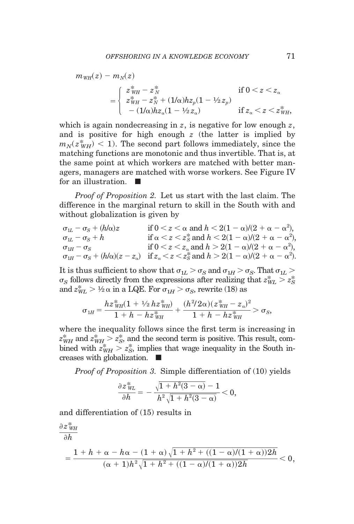$$
m_{WH}(z) - m_N(z)
$$
  
= 
$$
\begin{cases} z_{WH}^* - z_N^* & \text{if } 0 < z < z_\alpha \\ z_{WH}^* - z_N^* + (1/\alpha) h z_p (1 - 1/2 z_p) \\ - (1/\alpha) h z_\alpha (1 - 1/2 z_\alpha) & \text{if } z_\alpha < z < z_{WH}^* \end{cases}
$$

which is again nondecreasing in z, is negative for low enough z, and is positive for high enough  $z$  (the latter is implied by  $m_N(z_{WH}^*)$  < 1). The second part follows immediately, since the matching functions are monotonic and thus invertible. That is, at the same point at which workers are matched with better managers, managers are matched with worse workers. See Figure IV for an illustration.  $\mathbb{R}^n$ 

Proof of Proposition 2. Let us start with the last claim. The difference in the marginal return to skill in the South with and without globalization is given by

$$
\sigma_{1L} - \sigma_S + (h/\alpha)z
$$
 if  $0 < z < \alpha$  and  $h < 2(1 - \alpha)/(2 + \alpha - \alpha^2)$ ,  
\n
$$
\sigma_{1L} - \sigma_S + h
$$
 if  $\alpha < z < z_S^*$  and  $h < 2(1 - \alpha)/(2 + \alpha - \alpha^2)$ ,  
\n
$$
\sigma_{1H} - \sigma_S
$$
 if  $0 < z < z_\alpha$  and  $h > 2(1 - \alpha)/(2 + \alpha - \alpha^2)$ ,  
\n
$$
\sigma_{1H} - \sigma_S + (h/\alpha)(z - z_\alpha)
$$
 if  $z_\alpha < z < z_S^*$  and  $h > 2(1 - \alpha)/(2 + \alpha - \alpha^2)$ .

It is thus sufficient to show that  $\sigma_{1L} > \sigma_S$  and  $\sigma_{1H} > \sigma_S$ . That  $\sigma_{1L} >$  $\sigma_S$  follows directly from the expressions after realizing that  $z_{WL}^* > z_S^*$ and  $z_{\rm WT}^* > \frac{1}{2} \alpha$  in a LQE. For  $\sigma_{1H} > \sigma_{\rm S}$ , rewrite (18) as

$$
\sigma_{1H} \!=\! \frac{h z^*_{\mathrm{W\!H}} (1+ \frac{1}{2} h z^*_{\mathrm{W\!H}})}{1+h-h z^*_{\mathrm{W\!H}}} + \frac{(h^2\!/2\alpha)(z^*_{\mathrm{W\!H}} - z_{\alpha})^2}{1+h-h z^*_{\mathrm{W\!H}}}> \sigma_{S_2}
$$

where the inequality follows since the first term is increasing in  $z_{WH}^*$  and  $z_{WH}^* > z_{S}^*$ , and the second term is positive. This result, combined with  $z_{WH}^* > z_{S}^*$ , implies that wage inequality in the South increases with globalization.  $\blacksquare$ 

*Proof of Proposition 3.* Simple differentiation of (10) yields

$$
\frac{\partial z^{\text{*}}_{\textit{WL}}}{\partial h}=-\,\frac{\sqrt{1+h^2(3-\alpha)}-1}{h^2\sqrt{1+h^2(3-\alpha)}}<0,
$$

and differentiation of (15) results in

$$
\begin{aligned} &\frac{\partial z_{\rm\,}^{\rm\scriptscriptstyle w}}{\partial h} \\ &= \frac{1+h+\alpha-h\alpha-(1+\alpha)\sqrt{1+h^2+((1-\alpha)/(1+\alpha))2h}}{(\alpha+1)h^2\sqrt{1+h^2+((1-\alpha)/(1+\alpha))2h}} < 0, \end{aligned}
$$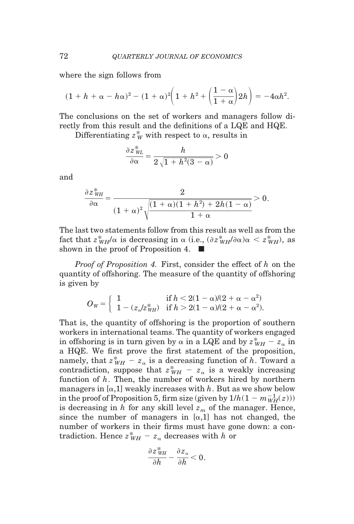where the sign follows from

$$
(1+h+\alpha-h\alpha)^2-(1+\alpha)^2\bigg(1+h^2+\bigg(\frac{1-\alpha}{1+\alpha}\bigg)2h\bigg)=-4\alpha h^2.
$$

The conclusions on the set of workers and managers follow directly from this result and the definitions of a LQE and HQE.

Differentiating  $z_w^*$  with respect to  $\alpha$ , results in

$$
\frac{\partial z^*_{WL}}{\partial \alpha} = \frac{h}{2\,\sqrt{1\,+\,h^2(3-\alpha)}} > 0
$$

and

$$
\frac{\partial z^*_{\textit{WH}}}{\partial \alpha} = \frac{2}{(1+\alpha)^2 \sqrt{\frac{(1+\alpha)(1+h^2)+2h(1-\alpha)}{1+\alpha}}} > 0.
$$

The last two statements follow from this result as well as from the fact that  $z_{WH}^*/\alpha$  is decreasing in  $\alpha$  (i.e.,  $(\partial z_{WH}^*/\partial \alpha) \alpha < z_{WH}^*$ ), as shown in the proof of Proposition 4.

Proof of Proposition 4. First, consider the effect of h on the quantity of offshoring. The measure of the quantity of offshoring is given by

$$
O_W = \begin{cases} 1 & \text{if } h < 2(1 - \alpha)/(2 + \alpha - \alpha^2) \\ 1 - (z_\alpha/z_{WH}^*) & \text{if } h > 2(1 - \alpha)/(2 + \alpha - \alpha^2). \end{cases}
$$

That is, the quantity of offshoring is the proportion of southern workers in international teams. The quantity of workers engaged in offshoring is in turn given by  $\alpha$  in a LQE and by  $z_{WH}^* - z_{\alpha}$  in a HQE. We first prove the first statement of the proposition, namely, that  $z_{WH}^* - z_{\alpha}$  is a decreasing function of h. Toward a contradiction, suppose that  $z_{WH}^* - z_{\alpha}$  is a weakly increasing function of  $h$ . Then, the number of workers hired by northern managers in [ $\alpha$ ,1] weakly increases with h. But as we show below in the proof of Proposition 5, firm size (given by  $1/h(1 - m_{WH}^{-1}(z))$ ) is decreasing in h for any skill level  $z_m$  of the manager. Hence, since the number of managers in  $[\alpha,1]$  has not changed, the number of workers in their firms must have gone down: a contradiction. Hence  $z_{WH}^* - z_{\alpha}$  decreases with h or

$$
\frac{\partial z^*_{\;\text{WH}}}{\partial h}-\frac{\partial z_\alpha}{\partial h}<0.
$$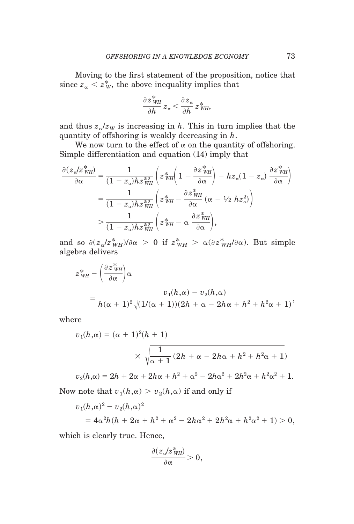Moving to the first statement of the proposition, notice that since  $z_{\alpha} < z_{w}^{*}$ , the above inequality implies that

$$
\frac{\partial z_{\text{ \tiny }}\text{ \tiny WH}}{\partial h} \, z_{\text{ \tiny } \alpha} < \frac{\partial z_{\text{ \tiny }}\alpha}{\partial h} \, z_{\text{ \tiny }}\text{ \tiny WH},
$$

and thus  $z_0/z_W$  is increasing in h. This in turn implies that the quantity of offshoring is weakly decreasing in  $h$ .

We now turn to the effect of  $\alpha$  on the quantity of offshoring. Simple differentiation and equation (14) imply that

$$
\begin{split} \frac{\partial (z_\alpha/z^*_{WH})}{\partial \alpha}&=\frac{1}{(1-z_\alpha)hz^{\frac{*2}{WH}}}\left(z^*_{WH}\left(1-\frac{\partial z^*_{WH}}{\partial \alpha}\right)-hz_\alpha(1-z_\alpha)\,\frac{\partial z^*_{WH}}{\partial \alpha}\right)\\ &=\frac{1}{(1-z_\alpha)hz^{\frac{*2}{WH}}}\left(z^*_{WH}-\frac{\partial z^*_{WH}}{\partial \alpha}\left(\alpha-1/2\;hz_\alpha^2\right)\right)\\ &>\frac{1}{(1-z_\alpha)hz^{\frac{*2}{WH}}}\left(z^*_{WH}-\alpha\;\frac{\partial z^*_{WH}}{\partial \alpha}\right), \end{split}
$$

and so  $\partial(z_{\alpha}/z_{WH}^*)/\partial \alpha > 0$  if  $z_{WH}^* > \alpha(\partial z_{WH}^*/\partial \alpha)$ . But simple algebra delivers

$$
z_{WH}^{*} - \left(\frac{\partial z_{WH}^{*}}{\partial \alpha}\right) \alpha
$$
  
= 
$$
\frac{v_{1}(h,\alpha) - v_{2}(h,\alpha)}{h(\alpha + 1)^{2} \sqrt{(1/(\alpha + 1))(2h + \alpha - 2h\alpha + h^{2} + h^{2}\alpha + 1)}},
$$

where

$$
v_1(h,\alpha) = (\alpha + 1)^2(h+1)
$$
  
\$\times \sqrt{\frac{1}{\alpha + 1}(2h + \alpha - 2h\alpha + h^2 + h^2\alpha + 1)}\$

 $v_2(h,\alpha) = 2h + 2\alpha + 2h\alpha + h^2 + \alpha^2 - 2h\alpha^2 + 2h^2\alpha + h^2\alpha^2 + 1.$ Now note that  $v_1(h,\alpha) > v_2(h,\alpha)$  if and only if

$$
v_1(h,\alpha)^2 - v_2(h,\alpha)^2
$$
  
=  $4\alpha^2h(h + 2\alpha + h^2 + \alpha^2 - 2h\alpha^2 + 2h^2\alpha + h^2\alpha^2 + 1) > 0$ ,

which is clearly true. Hence,

$$
\frac{\partial (z_{\alpha}/z_{\mathit{WH}}^*)}{\partial \alpha} > 0,
$$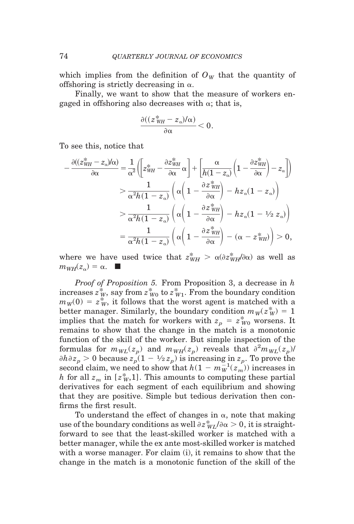which implies from the definition of  $O_W$  that the quantity of offshoring is strictly decreasing in  $\alpha$ .

Finally, we want to show that the measure of workers engaged in offshoring also decreases with  $\alpha$ ; that is,

$$
\frac{\partial((z_{\mathit{WH}}^*-z_{\alpha})/\alpha)}{\partial\alpha}<0
$$

To see this, notice that

$$
-\frac{\partial((z_{\rm WH}^* - z_{\alpha})/\alpha)}{\partial \alpha} = \frac{1}{\alpha^2} \left( \left[ z_{\rm WH}^* - \frac{\partial z_{\rm WH}^*}{\partial \alpha} \alpha \right] + \left[ \frac{\alpha}{h(1 - z_{\alpha})} \left( 1 - \frac{\partial z_{\rm WH}^*}{\partial \alpha} \right) - z_{\alpha} \right] \right) > \frac{1}{\alpha^2 h(1 - z_{\alpha})} \left( \alpha \left( 1 - \frac{\partial z_{\rm WH}^*}{\partial \alpha} \right) - h z_{\alpha} (1 - z_{\alpha}) \right) > \frac{1}{\alpha^2 h(1 - z_{\alpha})} \left( \alpha \left( 1 - \frac{\partial z_{\rm WH}^*}{\partial \alpha} \right) - h z_{\alpha} (1 - \frac{1}{2} z_{\alpha}) \right) = \frac{1}{\alpha^2 h(1 - z_{\alpha})} \left( \alpha \left( 1 - \frac{\partial z_{\rm WH}^*}{\partial \alpha} \right) - (\alpha - z_{\rm WH}^*) \right) > 0,
$$

where we have used twice that  $z_{WH}^* > \alpha(\partial z_{WH}^* / \partial \alpha)$  as well as  $m_{WH}(z_{\alpha}) = \alpha$ .

*Proof of Proposition 5.* From Proposition 3, a decrease in h increases  $z_{w}^{*}$ , say from  $z_{w0}^{*}$  to  $z_{w1}^{*}$ . From the boundary condition  $m_{w}(0) = z_{w}^{*}$ , it follows that the worst agent is matched with a better manager. Similarly, the boundary condition  $m_w(z_w^*) = 1$ implies that the match for workers with  $z_n = z_{w_0}^*$  worsens. It remains to show that the change in the match is a monotonic function of the skill of the worker. But simple inspection of the formulas for  $m_{WL}(z_p)$  and  $m_{WH}(z_p)$  reveals that  $\partial^2 m_{WL}(z_p)$ /  $\partial h \partial z_p > 0$  because  $z_p(1 - \frac{1}{2}z_p)$  is increasing in  $z_p$ . To prove the second claim, we need to show that  $h(1 - m_w^{-1}(z_m))$  increases in h for all  $z_m$  in  $[z_w^*,1]$ . This amounts to computing these partial derivatives for each segment of each equilibrium and showing that they are positive. Simple but tedious derivation then confirms the first result.

To understand the effect of changes in  $\alpha$ , note that making use of the boundary conditions as well  $\partial z_{WL}^* / \partial \alpha > 0$ , it is straightforward to see that the least-skilled worker is matched with a better manager, while the ex ante most-skilled worker is matched with a worse manager. For claim (i), it remains to show that the change in the match is a monotonic function of the skill of the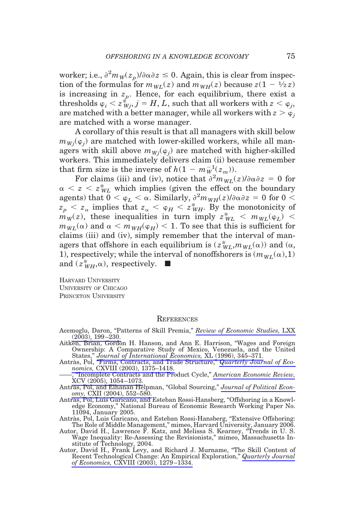worker; i.e.,  $\partial^2 m_W(z_n)/\partial \alpha \partial z \leq 0$ . Again, this is clear from inspection of the formulas for  $m_{\text{WL}}(z)$  and  $m_{\text{WH}}(z)$  because  $z(1 - \frac{1}{2}z)$ is increasing in  $z_n$ . Hence, for each equilibrium, there exist a thresholds  $\varphi_i \leq z_{W_i}^{*f}$ ,  $j = H, L$ , such that all workers with  $z \leq \varphi_i$ , are matched with a better manager, while all workers with  $z > \varphi_i$ are matched with a worse manager.

A corollary of this result is that all managers with skill below  $m_{W_i}(\varphi_i)$  are matched with lower-skilled workers, while all managers with skill above  $m_{W_i}(\varphi_i)$  are matched with higher-skilled workers. This immediately delivers claim (ii) because remember that firm size is the inverse of  $h(1 - m_w^{-1}(z_m))$ .

For claims (iii) and (iv), notice that  $\partial^2 m_{WI}(z)/\partial \alpha \partial z = 0$  for  $\alpha < z < z_{WL}^*$  which implies (given the effect on the boundary agents) that  $0 < \varphi_I < \alpha$ . Similarly,  $\partial^2 m_{WH}(z)/\partial \alpha \partial z = 0$  for  $0 <$  $z_n < z_{\alpha}$  implies that  $z_{\alpha} < \varphi_H < z_{WH}^*$ . By the monotonicity of  $m_w(z)$ , these inequalities in turn imply  $z_{WL}^* < m_{WL}(\varphi_L)$  $m_{\rm WL}(\alpha)$  and  $\alpha < m_{\rm WH}(\varphi_H) < 1$ . To see that this is sufficient for claims (iii) and (iv), simply remember that the interval of managers that offshore in each equilibrium is  $(z_{WL}^*, m_{WL}(\alpha))$  and  $(\alpha,$ 1), respectively; while the interval of nonoffshorers is  $(m_{WL}(\alpha), 1)$ and  $(z_{WH}^*, \alpha)$ , respectively.

**HARVARD UNIVERSITY UNIVERSITY OF CHICAGO** PRINCETON UNIVERSITY

#### **REFERENCES**

- Acemoglu, Daron, "Patterns of Skill Premia," Review of Economic Studies, LXX  $(2003)$ , 199-230.
- Aitken, Brian, Gordon H. Hanson, and Ann E. Harrison, "Wages and Foreign Ownership: A Comparative Study of Mexico, Venezuela, and the United States," Journal of International Economics, XL (1996), 345–371.
- Antràs, Pol, "Firms, Contracts, and Trade Structure," Quarterly Journal of Economics, CXVIII (2003), 1375-1418.
- "Incomplete Contracts and the Product Cycle," American Economic Review,  $XCV(2005), 1054-1073.$
- Antras, Pol, and Elhanan Helpman, "Global Sourcing," Journal of Political Economy, CXII (2004), 552–580.
- Antras, Pol, Luis Garicano, and Esteban Rossi-Hansberg, "Offshoring in a Knowledge Economy," National Bureau of Economic Research Working Paper No.<br>11094, January 2005.
- Antràs, Pol, Luis Garicano, and Esteban Rossi-Hansberg, "Extensive Offshoring:
- The Role of Middle Management," mimeo, Harvard University, January 2006.<br>Autor, David H., Lawrence F. Katz, and Melissa S. Kearney, "Trends in U. S.<br>Wage Inequality: Re-Assessing the Revisionists," mimeo, Massachusetts Institute of Technology, 2004.<br>Autor, David H., Frank Levy, and Richard J. Murname, "The Skill Content of
- Recent Technological Change: An Empirical Exploration," Quarterly Journal of Economics, CXVIII (2003), 1279-1334.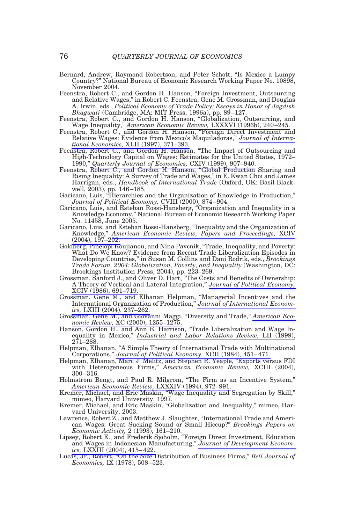- Bernard, Andrew, Raymond Robertson, and Peter Schott, "Is Mexico a Lumpy Country?" National Bureau of Economic Research Working Paper No. 10898, November 2004.
- Feenstra, Robert C., and Gordon H. Hanson, "Foreign Investment, Outsourcing and Relative Wages," in Robert C. Feenstra, Gene M. Grossman, and Douglas A. Irwin, eds., Political Economy of Trade Policy: Essays in Honor of Jagdish<br>Bhagwati (Cambridge, MA: MIT Press, 1996a), pp. 89–127.
- Feenstra, Robert C., and Gordon H. Hanson, "Globalization, Outsourcing, and Wage Inequality," American Economic Review, LXXXVI (1996b), 240-245.
- Feenstra, Robert C., and Gordon H. Hanson, "Foreign Direct Investment and Relative Wages: Evidence from Mexico's Maquiladoras," Journal of International Economics, XLII (1997), 371-393.
- Feenstra, Robert C., and Gordon H. Hanson, "The Impact of Outsourcing and High-Technology Capital on Wages: Estimates for the United States, 1972–
- 1990," Quarterly Journal of Economics, CXIV (1999), 907–940.<br>Feenstra, Robert C., and Gordon H. Hanson, "Global Production Sharing and Rising Inequality: A Survey of Trade and Wages," in E. Kwan Choi and James Harrigan, eds., Handbook of International Trade (Oxford, UK: Basil-Blackwell,  $2003$ , pp.  $146-185$ .
- Garicano, Luis, "Hierarchies and the Organization of Knowledge in Production," Journal of Political Economy, CVIII (2000), 874-904.
- Garicano, Luis, and Esteban Rossi-Hansberg, "Organization and Inequality in a Knowledge Economy," National Bureau of Economic Research Working Paper<br>No. 11458, June 2005.
- Garicano, Luis, and Esteban Rossi-Hansberg, "Inequality and the Organization of Knowledge," American Economic Review, Papers and Proceedings, XCIV  $(2004), 197 - 202.$
- Goldberg, Pinelopi Koujianou, and Nina Pavenik, "Trade, Inequality, and Poverty: What Do We Know? Evidence from Recent Trade Liberalization Episodes in Developing Countries," in Susan M. Collins and Dani Rodrik, eds., *Brookings* Trade Forum, 2004: Globalization, Poverty, and Inequality (Washington, DC: Brookings Institution Press, 2004), pp. 223-269.
- Grossman, Sanford J., and Oliver D. Hart, "The Costs and Benefits of Ownership:<br>A Theory of Vertical and Lateral Integration," Journal of Political Economy, XCIV (1986), 691-719.
- Grossman, Gene M., and Elhanan Helpman, "Managerial Incentives and the International Organization of Production," Journal of International Economics, LXIII (2004), 237-262.
- Grossman, Gene M., and Giovanni Maggi, "Diversity and Trade," American Economic Review, XC (2000), 1255-1275.
- Hanson, Gordon H., and Ann E. Harrison, "Trade Liberalization and Wage Inequality in Mexico," Industrial and Labor Relations Review, LII (1999),  $271 - 288.$
- Helpman, Elhanan, "A Simple Theory of International Trade with Multinational Corporations," Journal of Political Economy, XCII (1984), 451–471.<br>Helpman, Elhanan, Marc J. Melitz, and Stephen R. Yeaple, "Exports versus FDI
- with Heterogeneous Firms," American Economic Review, XCIII (2004),  $300 - 316.$
- Holmström Bengt, and Paul R. Milgrom, "The Firm as an Incentive System," American Economic Review, LXXXIV (1994), 972-991.
- Kremer, Michael, and Eric Maskin, "Wage Inequality and Segregation by Skill," mimeo, Harvard University, 1997.
- Kremer, Michael, and Eric Maskin, "Globalization and Inequality," mimeo, Harvard University, 2003.
- Lawrence, Robert Z., and Matthew J. Slaughter, "International Trade and American Wages: Great Sucking Sound or Small Hiccup?" Brookings Papers on Economic Activity, 2 (1993), 161-210.
- Lipsey, Robert E., and Frederik Sjoholm, "Foreign Direct Investment, Education and Wages in Indonesian Manufacturing," Journal of Development Economics, LXXIII (2004), 415–422.
- Lucas, Jr., Robert, "On the Size Distribution of Business Firms," Bell Journal of Economics, IX (1978), 508-523.